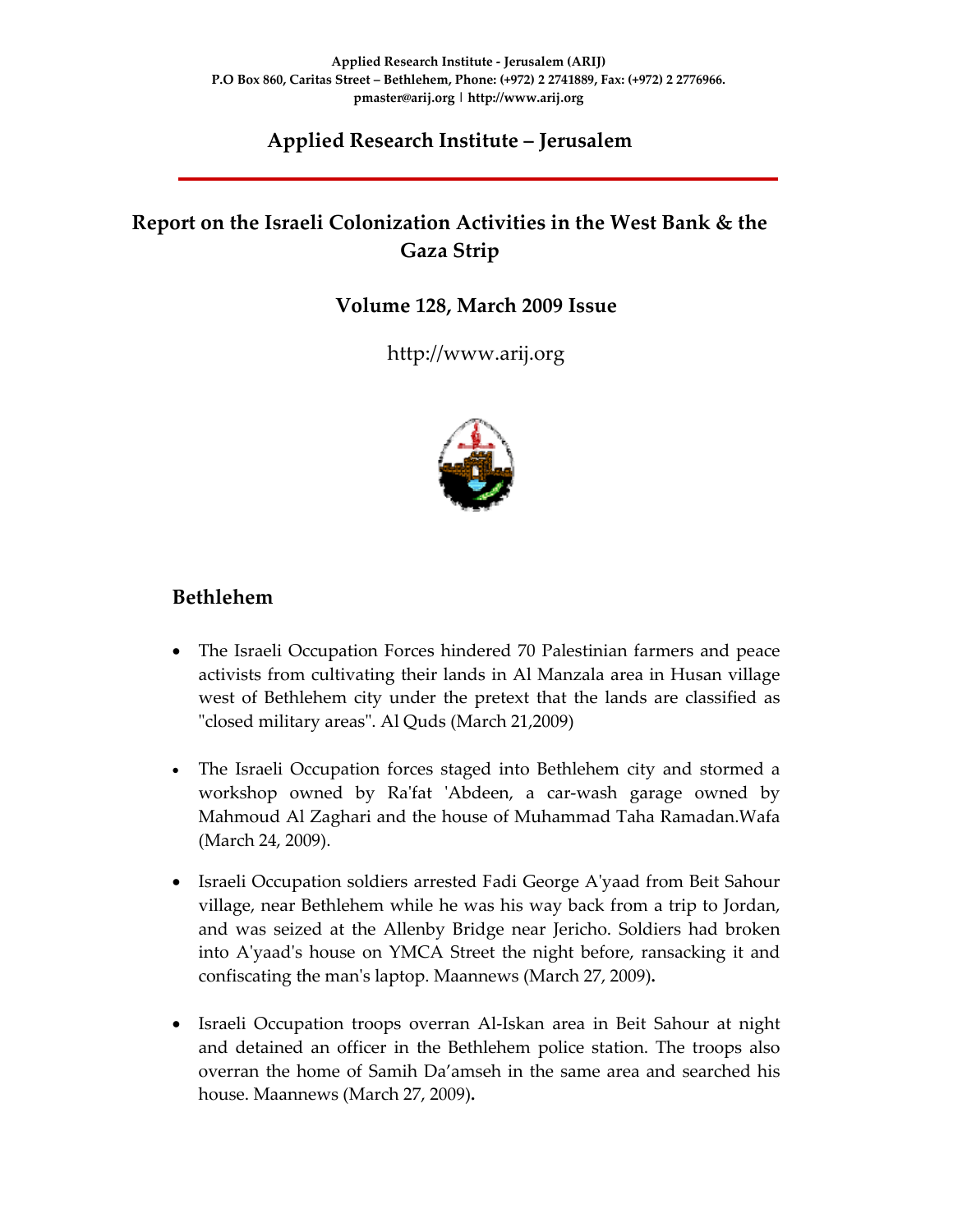# **Applied Research Institute – Jerusalem**

# **Report on the Israeli Colonization Activities in the West Bank & the Gaza Strip**

## **Volume 128, March 2009 Issue**

http://www.arij.org



# **Bethlehem**

- The Israeli Occupation Forces hindered 70 Palestinian farmers and peace activists from cultivating their lands in Al Manzala area in Husan village west of Bethlehem city under the pretext that the lands are classified as "closed military areas". Al Quds (March 21,2009)
- The Israeli Occupation forces staged into Bethlehem city and stormed a workshop owned by Ra'fat 'Abdeen, a car-wash garage owned by Mahmoud Al Zaghari and the house of Muhammad Taha Ramadan.Wafa (March 24, 2009).
- Israeli Occupation soldiers arrested Fadi George A'yaad from Beit Sahour village, near Bethlehem while he was his way back from a trip to Jordan, and was seized at the Allenby Bridge near Jericho. Soldiers had broken into Aʹyaadʹs house on YMCA Street the night before, ransacking it and confiscating the manʹs laptop. Maannews (March 27, 2009)**.**
- Israeli Occupation troops overran Al-Iskan area in Beit Sahour at night and detained an officer in the Bethlehem police station. The troops also overran the home of Samih Da'amseh in the same area and searched his house. Maannews (March 27, 2009)**.**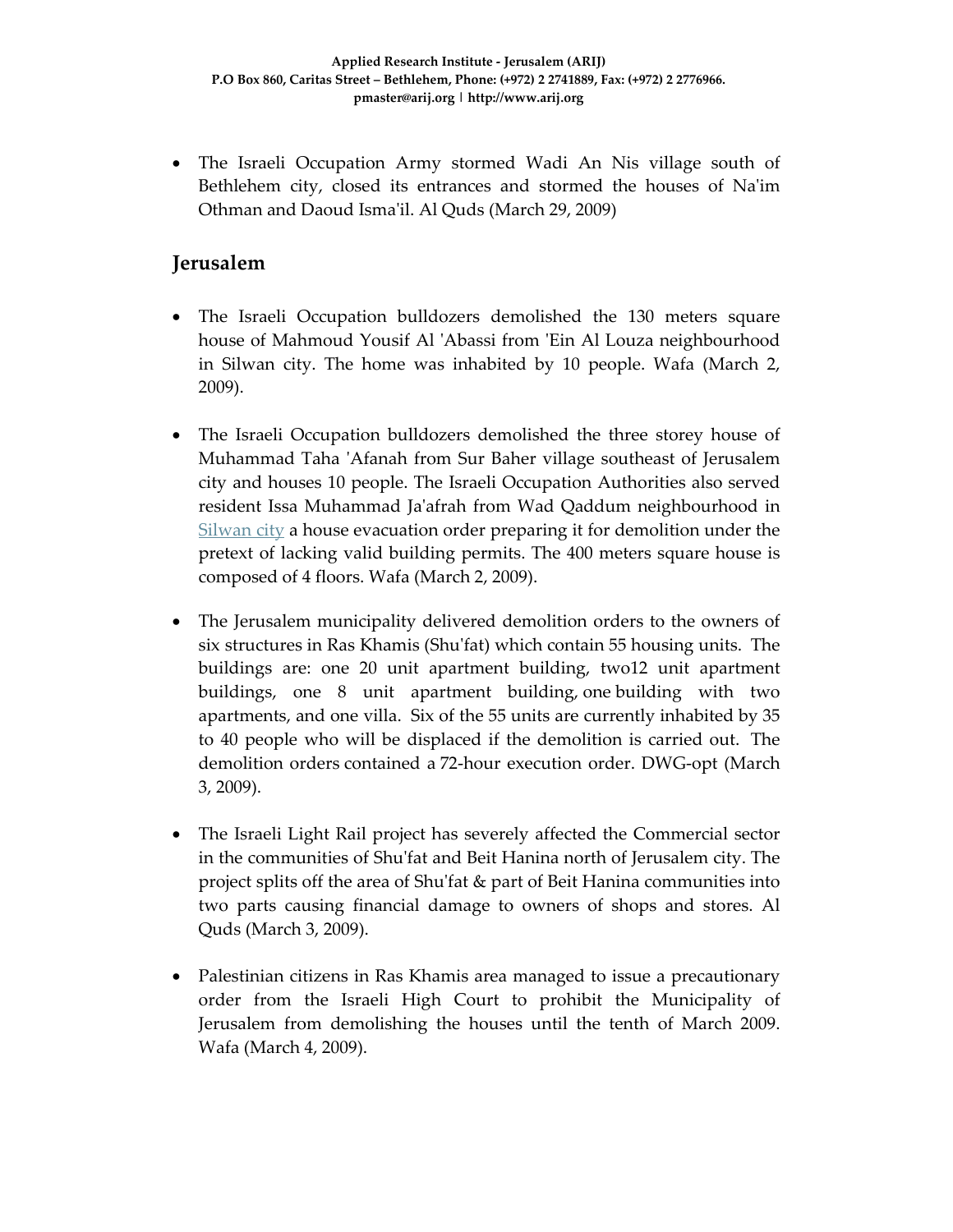• The Israeli Occupation Army stormed Wadi An Nis village south of Bethlehem city, closed its entrances and stormed the houses of Na'im Othman and Daoud Ismaʹil. Al Quds (March 29, 2009)

#### **Jerusalem**

- The Israeli Occupation bulldozers demolished the 130 meters square house of Mahmoud Yousif Al 'Abassi from 'Ein Al Louza neighbourhood in Silwan city. The home was inhabited by 10 people. Wafa (March 2, 2009).
- The Israeli Occupation bulldozers demolished the three storey house of Muhammad Taha ʹAfanah from Sur Baher village southeast of Jerusalem city and houses 10 people. The Israeli Occupation Authorities also served resident Issa Muhammad Jaʹafrah from Wad Qaddum neighbourhood in Silwan city a house evacuation order preparing it for demolition under the pretext of lacking valid building permits. The 400 meters square house is composed of 4 floors. Wafa (March 2, 2009).
- The Jerusalem municipality delivered demolition orders to the owners of six structures in Ras Khamis (Shuʹfat) which contain 55 housing units. The buildings are: one 20 unit apartment building, two12 unit apartment buildings, one 8 unit apartment building, one building with two apartments, and one villa. Six of the 55 units are currently inhabited by 35 to 40 people who will be displaced if the demolition is carried out. The demolition orders contained a 72‐hour execution order. DWG‐opt (March 3, 2009).
- The Israeli Light Rail project has severely affected the Commercial sector in the communities of Shuʹfat and Beit Hanina north of Jerusalem city. The project splits off the area of Shuʹfat & part of Beit Hanina communities into two parts causing financial damage to owners of shops and stores. Al Quds (March 3, 2009).
- Palestinian citizens in Ras Khamis area managed to issue a precautionary order from the Israeli High Court to prohibit the Municipality of Jerusalem from demolishing the houses until the tenth of March 2009. Wafa (March 4, 2009).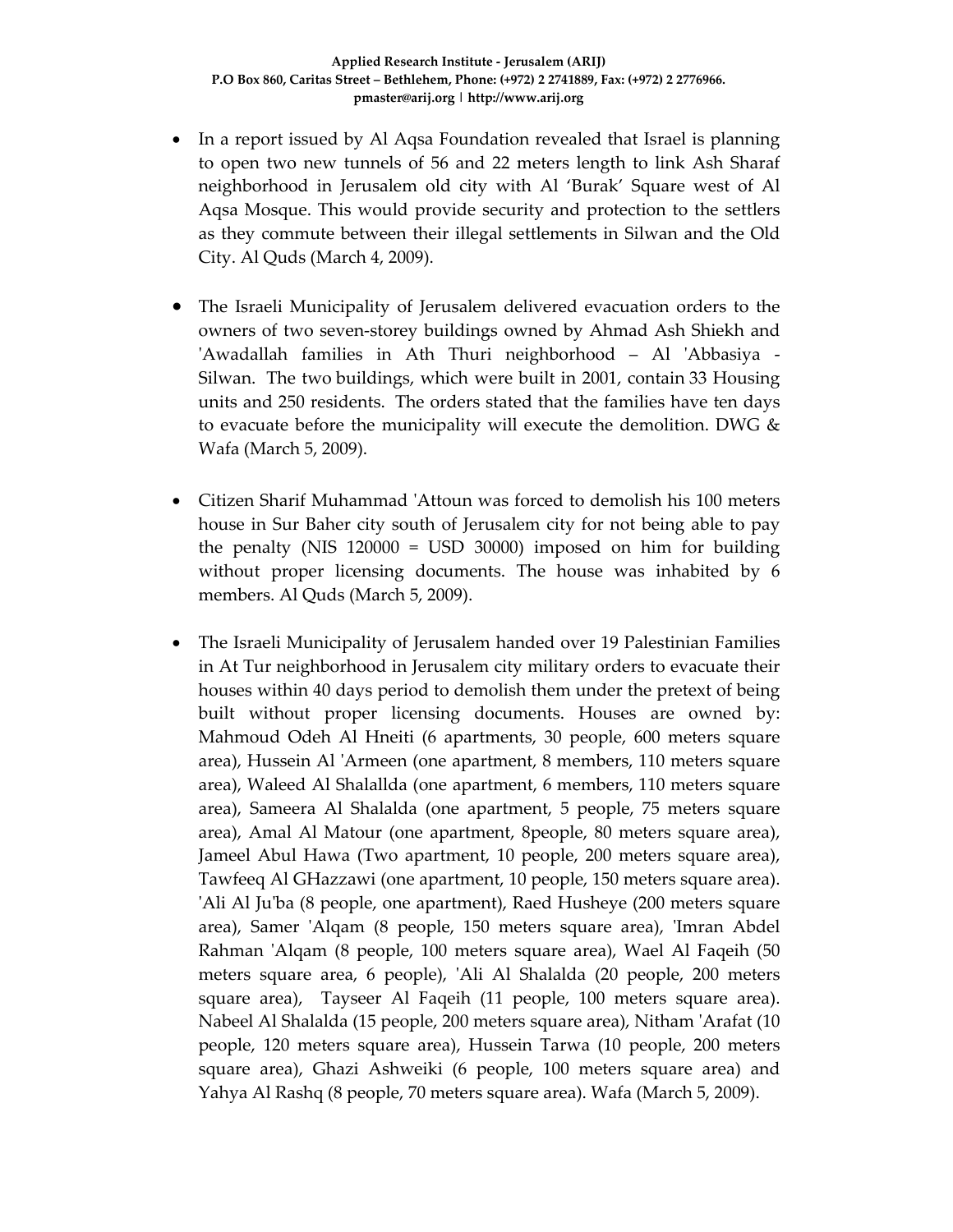- In a report issued by Al Aqsa Foundation revealed that Israel is planning to open two new tunnels of 56 and 22 meters length to link Ash Sharaf neighborhood in Jerusalem old city with Al 'Burak' Square west of Al Aqsa Mosque. This would provide security and protection to the settlers as they commute between their illegal settlements in Silwan and the Old City. Al Quds (March 4, 2009).
- The Israeli Municipality of Jerusalem delivered evacuation orders to the owners of two seven‐storey buildings owned by Ahmad Ash Shiekh and ʹAwadallah families in Ath Thuri neighborhood – Al ʹAbbasiya ‐ Silwan. The two buildings, which were built in 2001, contain 33 Housing units and 250 residents. The orders stated that the families have ten days to evacuate before the municipality will execute the demolition. DWG  $\&$ Wafa (March 5, 2009).
- Citizen Sharif Muhammad ʹAttoun was forced to demolish his 100 meters house in Sur Baher city south of Jerusalem city for not being able to pay the penalty (NIS 120000 = USD 30000) imposed on him for building without proper licensing documents. The house was inhabited by 6 members. Al Quds (March 5, 2009).
- The Israeli Municipality of Jerusalem handed over 19 Palestinian Families in At Tur neighborhood in Jerusalem city military orders to evacuate their houses within 40 days period to demolish them under the pretext of being built without proper licensing documents. Houses are owned by: Mahmoud Odeh Al Hneiti (6 apartments, 30 people, 600 meters square area), Hussein Al ʹArmeen (one apartment, 8 members, 110 meters square area), Waleed Al Shalallda (one apartment, 6 members, 110 meters square area), Sameera Al Shalalda (one apartment, 5 people, 75 meters square area), Amal Al Matour (one apartment, 8people, 80 meters square area), Jameel Abul Hawa (Two apartment, 10 people, 200 meters square area), Tawfeeq Al GHazzawi (one apartment, 10 people, 150 meters square area). ʹAli Al Juʹba (8 people, one apartment), Raed Husheye (200 meters square area), Samer 'Alqam (8 people, 150 meters square area), 'Imran Abdel Rahman 'Alqam (8 people, 100 meters square area), Wael Al Faqeih (50 meters square area, 6 people), 'Ali Al Shalalda (20 people, 200 meters square area), Tayseer Al Faqeih (11 people, 100 meters square area). Nabeel Al Shalalda (15 people, 200 meters square area), Nitham ʹArafat (10 people, 120 meters square area), Hussein Tarwa (10 people, 200 meters square area), Ghazi Ashweiki (6 people, 100 meters square area) and Yahya Al Rashq (8 people, 70 meters square area). Wafa (March 5, 2009).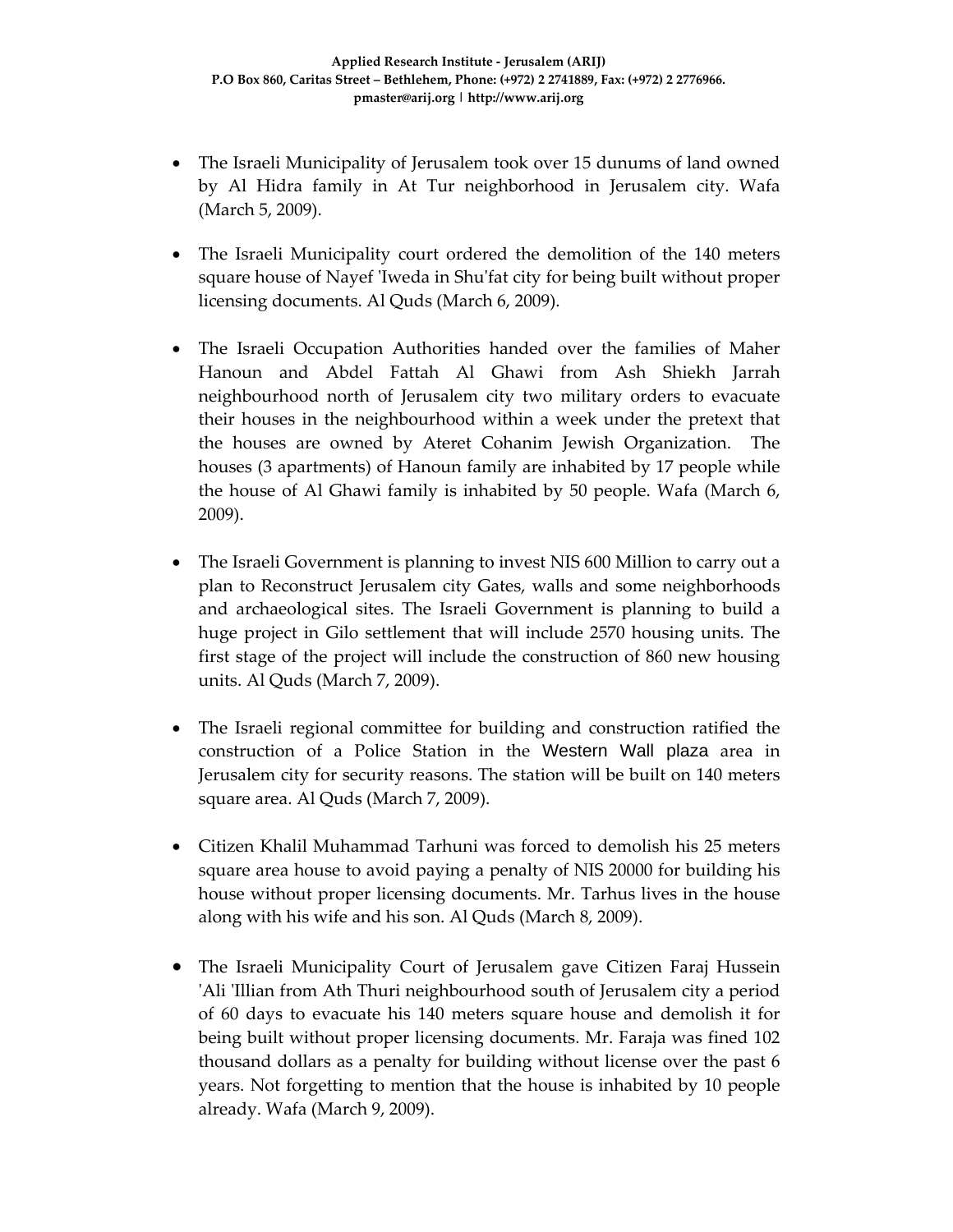- The Israeli Municipality of Jerusalem took over 15 dunums of land owned by Al Hidra family in At Tur neighborhood in Jerusalem city. Wafa (March 5, 2009).
- The Israeli Municipality court ordered the demolition of the 140 meters square house of Nayef 'Iweda in Shu'fat city for being built without proper licensing documents. Al Quds (March 6, 2009).
- The Israeli Occupation Authorities handed over the families of Maher Hanoun and Abdel Fattah Al Ghawi from Ash Shiekh Jarrah neighbourhood north of Jerusalem city two military orders to evacuate their houses in the neighbourhood within a week under the pretext that the houses are owned by Ateret Cohanim Jewish Organization. The houses (3 apartments) of Hanoun family are inhabited by 17 people while the house of Al Ghawi family is inhabited by 50 people. Wafa (March 6, 2009).
- The Israeli Government is planning to invest NIS 600 Million to carry out a plan to Reconstruct Jerusalem city Gates, walls and some neighborhoods and archaeological sites. The Israeli Government is planning to build a huge project in Gilo settlement that will include 2570 housing units. The first stage of the project will include the construction of 860 new housing units. Al Quds (March 7, 2009).
- The Israeli regional committee for building and construction ratified the construction of a Police Station in the Western Wall plaza area in Jerusalem city for security reasons. The station will be built on 140 meters square area. Al Quds (March 7, 2009).
- Citizen Khalil Muhammad Tarhuni was forced to demolish his 25 meters square area house to avoid paying a penalty of NIS 20000 for building his house without proper licensing documents. Mr. Tarhus lives in the house along with his wife and his son. Al Quds (March 8, 2009).
- The Israeli Municipality Court of Jerusalem gave Citizen Faraj Hussein 'Ali 'Illian from Ath Thuri neighbourhood south of Jerusalem city a period of 60 days to evacuate his 140 meters square house and demolish it for being built without proper licensing documents. Mr. Faraja was fined 102 thousand dollars as a penalty for building without license over the past 6 years. Not forgetting to mention that the house is inhabited by 10 people already. Wafa (March 9, 2009).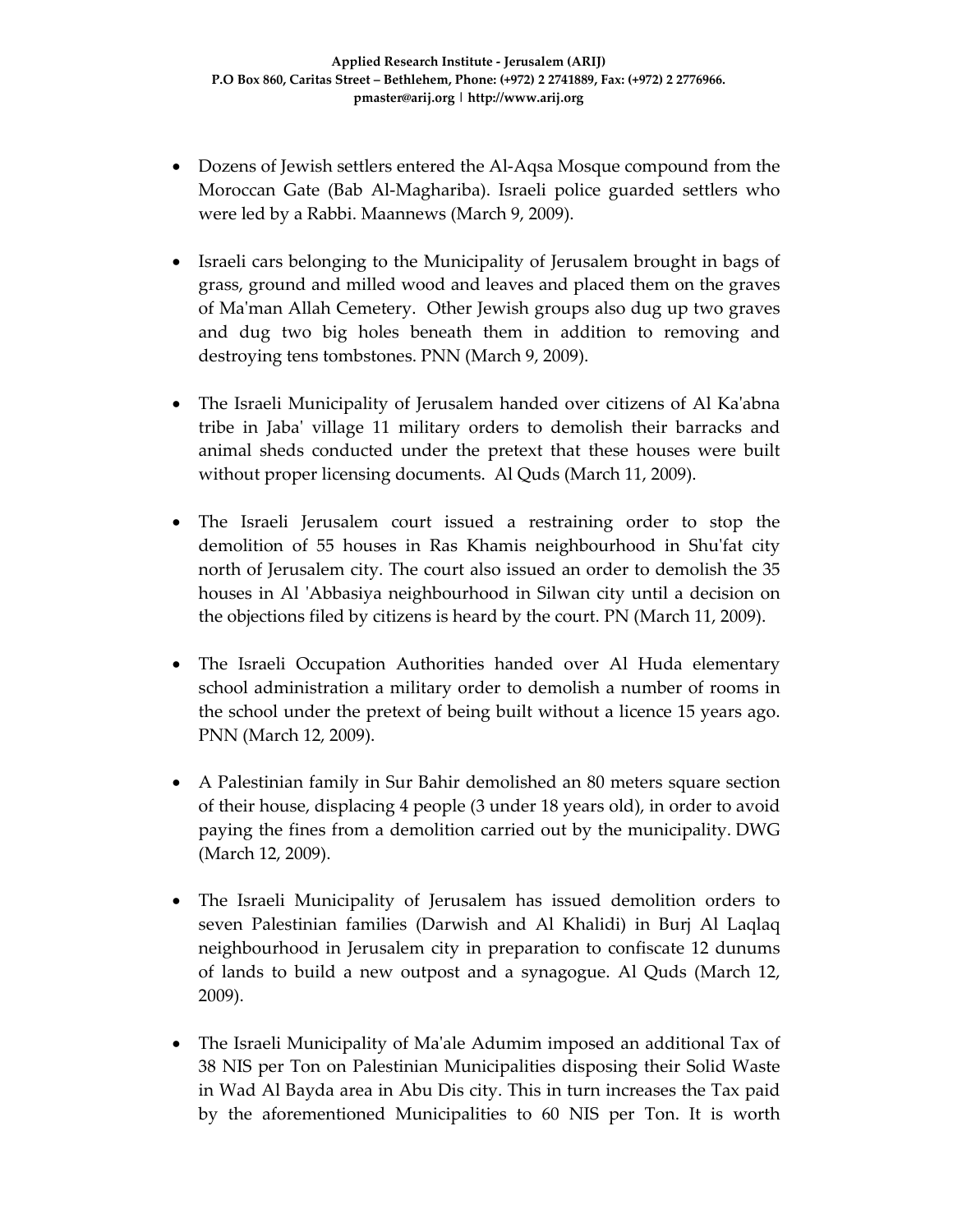- Dozens of Jewish settlers entered the Al-Aqsa Mosque compound from the Moroccan Gate (Bab Al‐Maghariba). Israeli police guarded settlers who were led by a Rabbi. Maannews (March 9, 2009).
- Israeli cars belonging to the Municipality of Jerusalem brought in bags of grass, ground and milled wood and leaves and placed them on the graves of Maʹman Allah Cemetery. Other Jewish groups also dug up two graves and dug two big holes beneath them in addition to removing and destroying tens tombstones. PNN (March 9, 2009).
- The Israeli Municipality of Jerusalem handed over citizens of Al Ka'abna tribe in Jabaʹ village 11 military orders to demolish their barracks and animal sheds conducted under the pretext that these houses were built without proper licensing documents. Al Quds (March 11, 2009).
- The Israeli Jerusalem court issued a restraining order to stop the demolition of 55 houses in Ras Khamis neighbourhood in Shuʹfat city north of Jerusalem city. The court also issued an order to demolish the 35 houses in Al 'Abbasiya neighbourhood in Silwan city until a decision on the objections filed by citizens is heard by the court. PN (March 11, 2009).
- The Israeli Occupation Authorities handed over Al Huda elementary school administration a military order to demolish a number of rooms in the school under the pretext of being built without a licence 15 years ago. PNN (March 12, 2009).
- A Palestinian family in Sur Bahir demolished an 80 meters square section of their house, displacing 4 people (3 under 18 years old), in order to avoid paying the fines from a demolition carried out by the municipality. DWG (March 12, 2009).
- The Israeli Municipality of Jerusalem has issued demolition orders to seven Palestinian families (Darwish and Al Khalidi) in Burj Al Laqlaq neighbourhood in Jerusalem city in preparation to confiscate 12 dunums of lands to build a new outpost and a synagogue. Al Quds (March 12, 2009).
- The Israeli Municipality of Ma'ale Adumim imposed an additional Tax of 38 NIS per Ton on Palestinian Municipalities disposing their Solid Waste in Wad Al Bayda area in Abu Dis city. This in turn increases the Tax paid by the aforementioned Municipalities to 60 NIS per Ton. It is worth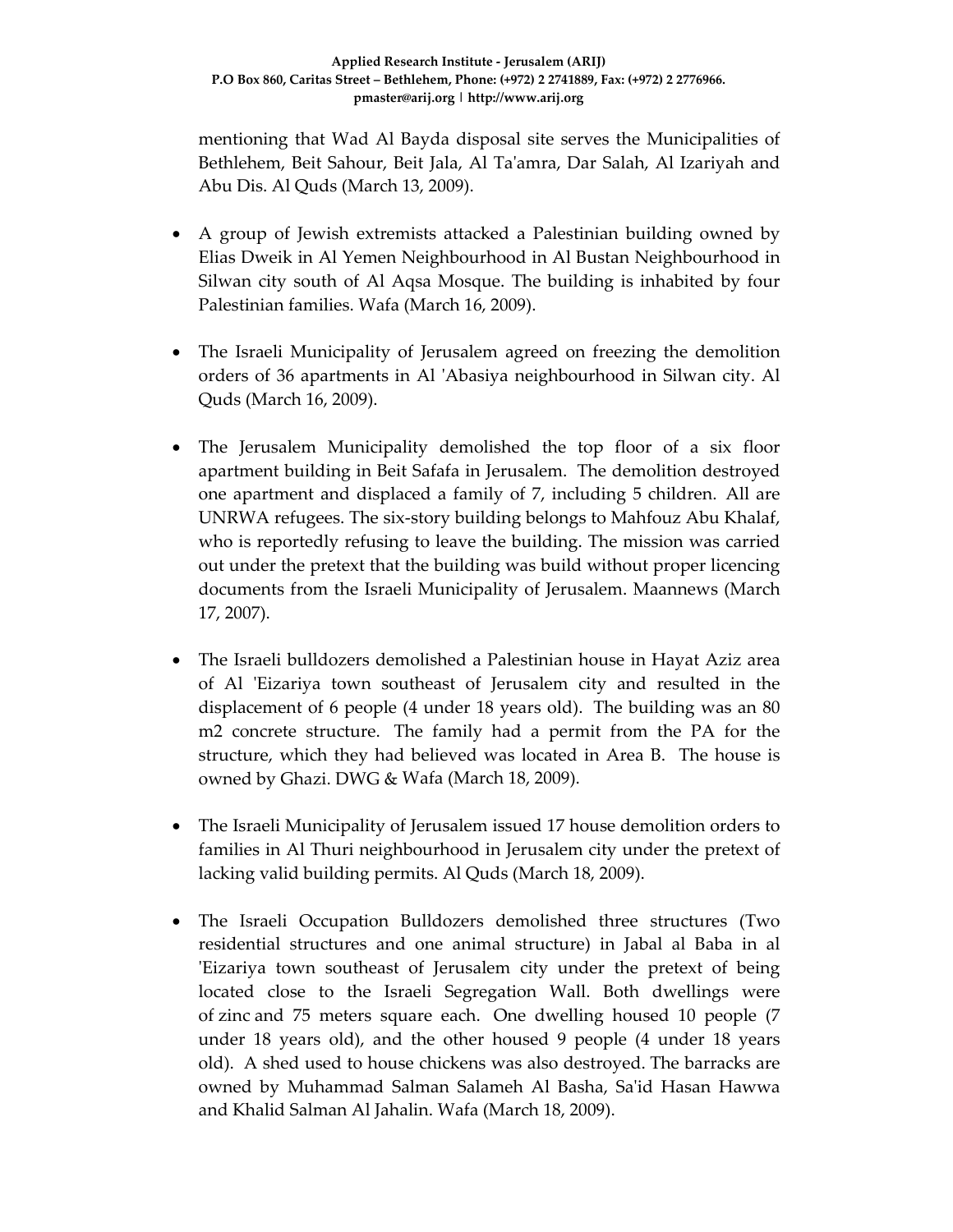mentioning that Wad Al Bayda disposal site serves the Municipalities of Bethlehem, Beit Sahour, Beit Jala, Al Taʹamra, Dar Salah, Al Izariyah and Abu Dis. Al Quds (March 13, 2009).

- A group of Jewish extremists attacked a Palestinian building owned by Elias Dweik in Al Yemen Neighbourhood in Al Bustan Neighbourhood in Silwan city south of Al Aqsa Mosque. The building is inhabited by four Palestinian families. Wafa (March 16, 2009).
- The Israeli Municipality of Jerusalem agreed on freezing the demolition orders of 36 apartments in Al ʹAbasiya neighbourhood in Silwan city. Al Quds (March 16, 2009).
- The Jerusalem Municipality demolished the top floor of a six floor apartment building in Beit Safafa in Jerusalem. The demolition destroyed one apartment and displaced a family of 7, including 5 children. All are UNRWA refugees. The six‐story building belongs to Mahfouz Abu Khalaf, who is reportedly refusing to leave the building. The mission was carried out under the pretext that the building was build without proper licencing documents from the Israeli Municipality of Jerusalem. Maannews (March 17, 2007).
- The Israeli bulldozers demolished a Palestinian house in Hayat Aziz area of Al 'Eizariya town southeast of Jerusalem city and resulted in the displacement of 6 people (4 under 18 years old). The building was an 80 m2 concrete structure. The family had a permit from the PA for the structure, which they had believed was located in Area B. The house is owned by Ghazi. DWG & Wafa (March 18, 2009).
- The Israeli Municipality of Jerusalem issued 17 house demolition orders to families in Al Thuri neighbourhood in Jerusalem city under the pretext of lacking valid building permits. Al Quds (March 18, 2009).
- The Israeli Occupation Bulldozers demolished three structures (Two residential structures and one animal structure) in Jabal al Baba in al ʹEizariya town southeast of Jerusalem city under the pretext of being located close to the Israeli Segregation Wall. Both dwellings were of zinc and 75 meters square each. One dwelling housed 10 people (7 under 18 years old), and the other housed 9 people (4 under 18 years old). A shed used to house chickens was also destroyed. The barracks are owned by Muhammad Salman Salameh Al Basha, Saʹid Hasan Hawwa and Khalid Salman Al Jahalin. Wafa (March 18, 2009).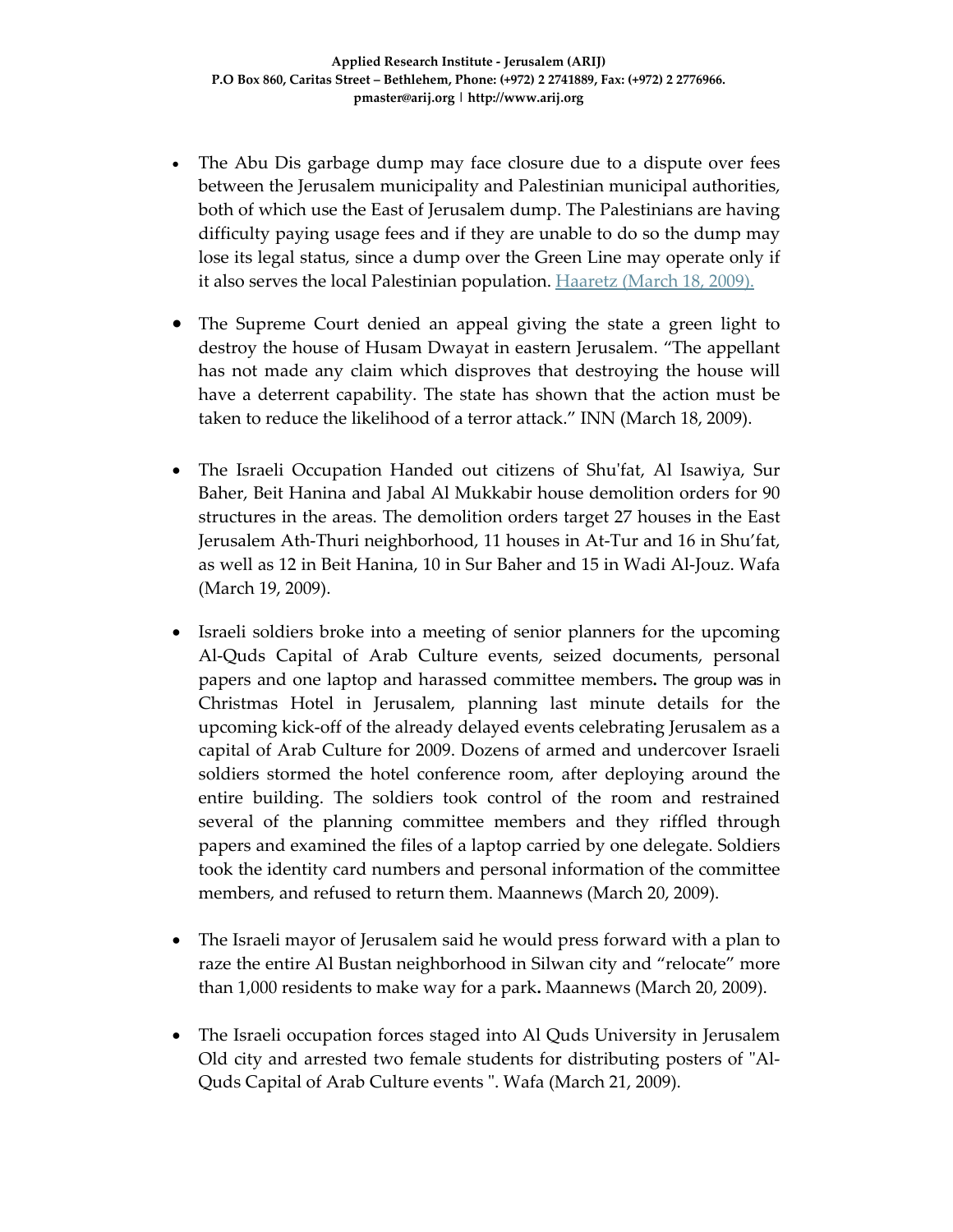- The Abu Dis garbage dump may face closure due to a dispute over fees between the Jerusalem municipality and Palestinian municipal authorities, both of which use the East of Jerusalem dump. The Palestinians are having difficulty paying usage fees and if they are unable to do so the dump may lose its legal status, since a dump over the Green Line may operate only if it also serves the local Palestinian population. **Haaretz** (March 18, 2009).
- The Supreme Court denied an appeal giving the state a green light to destroy the house of Husam Dwayat in eastern Jerusalem. "The appellant has not made any claim which disproves that destroying the house will have a deterrent capability. The state has shown that the action must be taken to reduce the likelihood of a terror attack." INN (March 18, 2009).
- The Israeli Occupation Handed out citizens of Shu'fat, Al Isawiya, Sur Baher, Beit Hanina and Jabal Al Mukkabir house demolition orders for 90 structures in the areas. The demolition orders target 27 houses in the East Jerusalem Ath‐Thuri neighborhood, 11 houses in At‐Tur and 16 in Shu'fat, as well as 12 in Beit Hanina, 10 in Sur Baher and 15 in Wadi Al‐Jouz. Wafa (March 19, 2009).
- Israeli soldiers broke into a meeting of senior planners for the upcoming Al‐Quds Capital of Arab Culture events, seized documents, personal papers and one laptop and harassed committee members**.** The group was in Christmas Hotel in Jerusalem, planning last minute details for the upcoming kick‐off of the already delayed events celebrating Jerusalem as a capital of Arab Culture for 2009. Dozens of armed and undercover Israeli soldiers stormed the hotel conference room, after deploying around the entire building. The soldiers took control of the room and restrained several of the planning committee members and they riffled through papers and examined the files of a laptop carried by one delegate. Soldiers took the identity card numbers and personal information of the committee members, and refused to return them. Maannews (March 20, 2009).
- The Israeli mayor of Jerusalem said he would press forward with a plan to raze the entire Al Bustan neighborhood in Silwan city and "relocate" more than 1,000 residents to make way for a park**.** Maannews (March 20, 2009).
- The Israeli occupation forces staged into Al Quds University in Jerusalem Old city and arrested two female students for distributing posters of "Al-Quds Capital of Arab Culture events ". Wafa (March 21, 2009).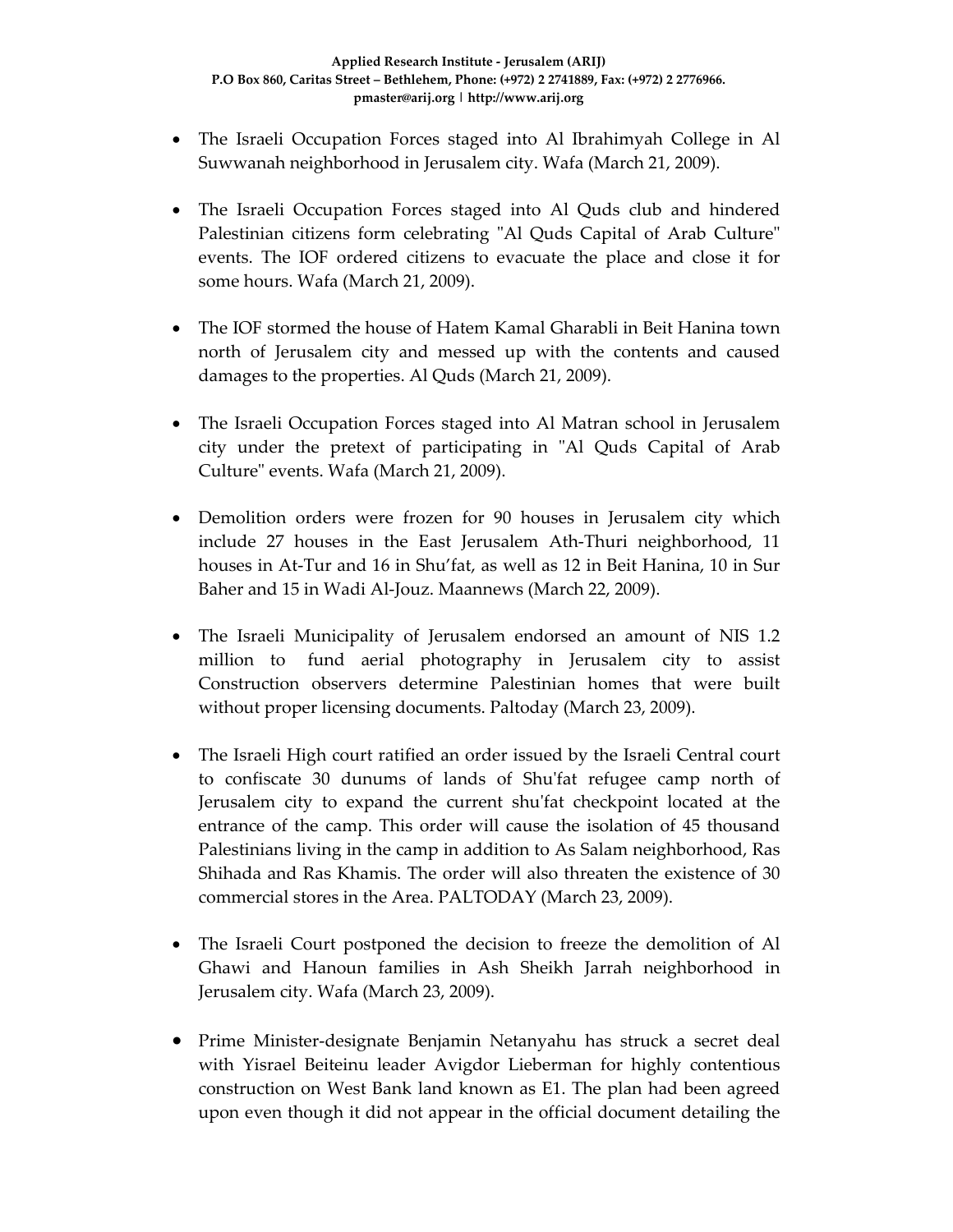- The Israeli Occupation Forces staged into Al Ibrahimyah College in Al Suwwanah neighborhood in Jerusalem city. Wafa (March 21, 2009).
- The Israeli Occupation Forces staged into Al Quds club and hindered Palestinian citizens form celebrating "Al Quds Capital of Arab Culture" events. The IOF ordered citizens to evacuate the place and close it for some hours. Wafa (March 21, 2009).
- The IOF stormed the house of Hatem Kamal Gharabli in Beit Hanina town north of Jerusalem city and messed up with the contents and caused damages to the properties. Al Quds (March 21, 2009).
- The Israeli Occupation Forces staged into Al Matran school in Jerusalem city under the pretext of participating in "Al Quds Capital of Arab Culture" events. Wafa (March 21, 2009).
- Demolition orders were frozen for 90 houses in Jerusalem city which include 27 houses in the East Jerusalem Ath‐Thuri neighborhood, 11 houses in At‐Tur and 16 in Shu'fat, as well as 12 in Beit Hanina, 10 in Sur Baher and 15 in Wadi Al‐Jouz. Maannews (March 22, 2009).
- The Israeli Municipality of Jerusalem endorsed an amount of NIS 1.2 million to fund aerial photography in Jerusalem city to assist Construction observers determine Palestinian homes that were built without proper licensing documents. Paltoday (March 23, 2009).
- The Israeli High court ratified an order issued by the Israeli Central court to confiscate 30 dunums of lands of Shuʹfat refugee camp north of Jerusalem city to expand the current shuʹfat checkpoint located at the entrance of the camp. This order will cause the isolation of 45 thousand Palestinians living in the camp in addition to As Salam neighborhood, Ras Shihada and Ras Khamis. The order will also threaten the existence of 30 commercial stores in the Area. PALTODAY (March 23, 2009).
- The Israeli Court postponed the decision to freeze the demolition of Al Ghawi and Hanoun families in Ash Sheikh Jarrah neighborhood in Jerusalem city. Wafa (March 23, 2009).
- Prime Minister‐designate Benjamin Netanyahu has struck a secret deal with Yisrael Beiteinu leader Avigdor Lieberman for highly contentious construction on West Bank land known as E1. The plan had been agreed upon even though it did not appear in the official document detailing the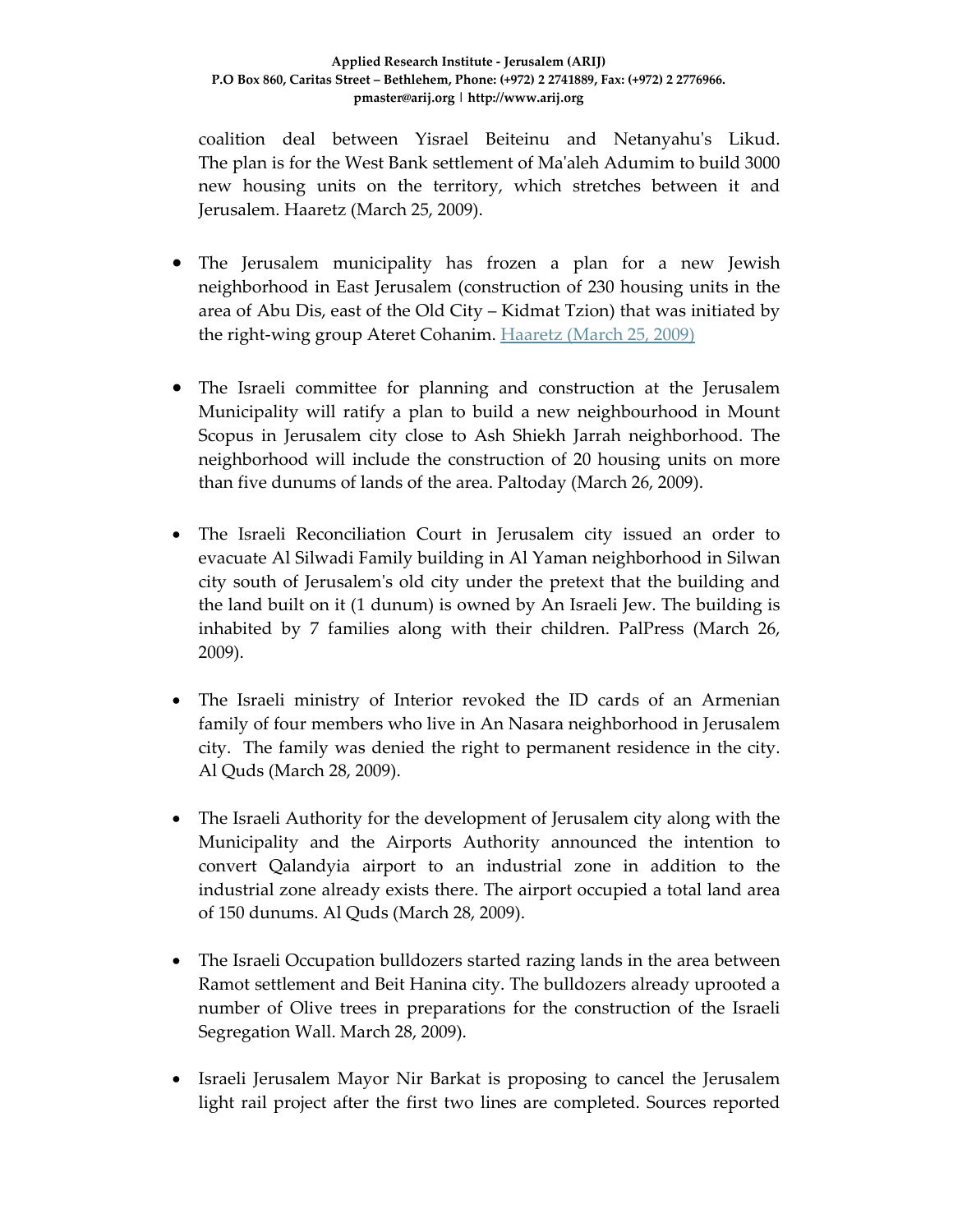coalition deal between Yisrael Beiteinu and Netanyahuʹs Likud. The plan is for the West Bank settlement of Maʹaleh Adumim to build 3000 new housing units on the territory, which stretches between it and Jerusalem. Haaretz (March 25, 2009).

- The Jerusalem municipality has frozen a plan for a new Jewish neighborhood in East Jerusalem (construction of 230 housing units in the area of Abu Dis, east of the Old City – Kidmat Tzion) that was initiated by the right‐wing group Ateret Cohanim. Haaretz (March 25, 2009)
- The Israeli committee for planning and construction at the Jerusalem Municipality will ratify a plan to build a new neighbourhood in Mount Scopus in Jerusalem city close to Ash Shiekh Jarrah neighborhood. The neighborhood will include the construction of 20 housing units on more than five dunums of lands of the area. Paltoday (March 26, 2009).
- The Israeli Reconciliation Court in Jerusalem city issued an order to evacuate Al Silwadi Family building in Al Yaman neighborhood in Silwan city south of Jerusalemʹs old city under the pretext that the building and the land built on it (1 dunum) is owned by An Israeli Jew. The building is inhabited by 7 families along with their children. PalPress (March 26, 2009).
- The Israeli ministry of Interior revoked the ID cards of an Armenian family of four members who live in An Nasara neighborhood in Jerusalem city. The family was denied the right to permanent residence in the city. Al Quds (March 28, 2009).
- The Israeli Authority for the development of Jerusalem city along with the Municipality and the Airports Authority announced the intention to convert Qalandyia airport to an industrial zone in addition to the industrial zone already exists there. The airport occupied a total land area of 150 dunums. Al Quds (March 28, 2009).
- The Israeli Occupation bulldozers started razing lands in the area between Ramot settlement and Beit Hanina city. The bulldozers already uprooted a number of Olive trees in preparations for the construction of the Israeli Segregation Wall. March 28, 2009).
- Israeli Jerusalem Mayor Nir Barkat is proposing to cancel the Jerusalem light rail project after the first two lines are completed. Sources reported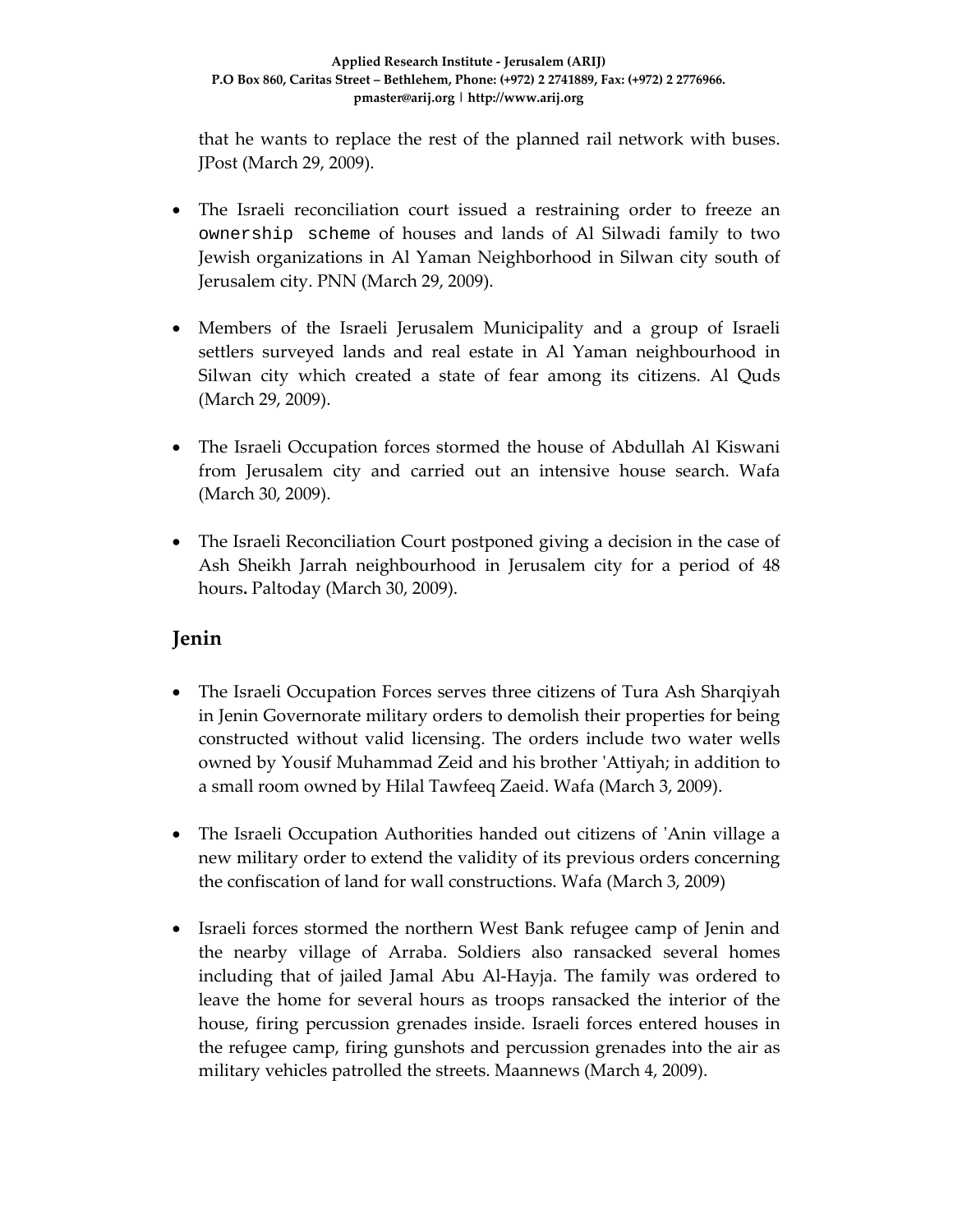that he wants to replace the rest of the planned rail network with buses. JPost (March 29, 2009).

- The Israeli reconciliation court issued a restraining order to freeze an ownership scheme of houses and lands of Al Silwadi family to two Jewish organizations in Al Yaman Neighborhood in Silwan city south of Jerusalem city. PNN (March 29, 2009).
- Members of the Israeli Jerusalem Municipality and a group of Israeli settlers surveyed lands and real estate in Al Yaman neighbourhood in Silwan city which created a state of fear among its citizens. Al Quds (March 29, 2009).
- The Israeli Occupation forces stormed the house of Abdullah Al Kiswani from Jerusalem city and carried out an intensive house search. Wafa (March 30, 2009).
- The Israeli Reconciliation Court postponed giving a decision in the case of Ash Sheikh Jarrah neighbourhood in Jerusalem city for a period of 48 hours**.** Paltoday (March 30, 2009).

# **Jenin**

- The Israeli Occupation Forces serves three citizens of Tura Ash Sharqiyah in Jenin Governorate military orders to demolish their properties for being constructed without valid licensing. The orders include two water wells owned by Yousif Muhammad Zeid and his brother ʹAttiyah; in addition to a small room owned by Hilal Tawfeeq Zaeid. Wafa (March 3, 2009).
- The Israeli Occupation Authorities handed out citizens of 'Anin village a new military order to extend the validity of its previous orders concerning the confiscation of land for wall constructions. Wafa (March 3, 2009)
- Israeli forces stormed the northern West Bank refugee camp of Jenin and the nearby village of Arraba. Soldiers also ransacked several homes including that of jailed Jamal Abu Al‐Hayja. The family was ordered to leave the home for several hours as troops ransacked the interior of the house, firing percussion grenades inside. Israeli forces entered houses in the refugee camp, firing gunshots and percussion grenades into the air as military vehicles patrolled the streets. Maannews (March 4, 2009).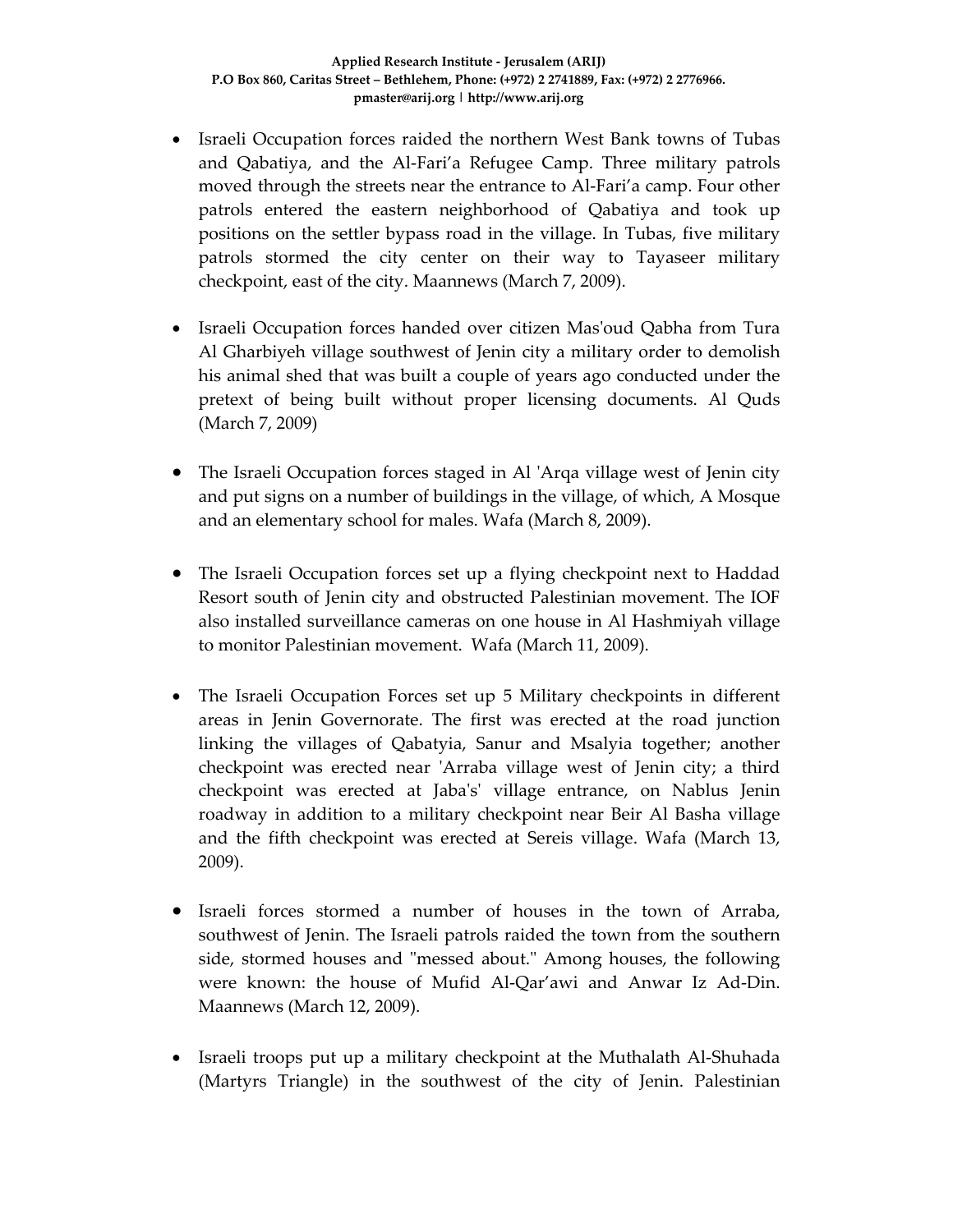- Israeli Occupation forces raided the northern West Bank towns of Tubas and Qabatiya, and the Al‐Fari'a Refugee Camp. Three military patrols moved through the streets near the entrance to Al‐Fari'a camp. Four other patrols entered the eastern neighborhood of Qabatiya and took up positions on the settler bypass road in the village. In Tubas, five military patrols stormed the city center on their way to Tayaseer military checkpoint, east of the city. Maannews (March 7, 2009).
- Israeli Occupation forces handed over citizen Mas'oud Qabha from Tura Al Gharbiyeh village southwest of Jenin city a military order to demolish his animal shed that was built a couple of years ago conducted under the pretext of being built without proper licensing documents. Al Quds (March 7, 2009)
- The Israeli Occupation forces staged in Al ʹArqa village west of Jenin city and put signs on a number of buildings in the village, of which, A Mosque and an elementary school for males. Wafa (March 8, 2009).
- The Israeli Occupation forces set up a flying checkpoint next to Haddad Resort south of Jenin city and obstructed Palestinian movement. The IOF also installed surveillance cameras on one house in Al Hashmiyah village to monitor Palestinian movement. Wafa (March 11, 2009).
- The Israeli Occupation Forces set up 5 Military checkpoints in different areas in Jenin Governorate. The first was erected at the road junction linking the villages of Qabatyia, Sanur and Msalyia together; another checkpoint was erected near 'Arraba village west of Jenin city; a third checkpoint was erected at Jabaʹsʹ village entrance, on Nablus Jenin roadway in addition to a military checkpoint near Beir Al Basha village and the fifth checkpoint was erected at Sereis village. Wafa (March 13, 2009).
- Israeli forces stormed a number of houses in the town of Arraba, southwest of Jenin. The Israeli patrols raided the town from the southern side, stormed houses and "messed about." Among houses, the following were known: the house of Mufid Al‐Qar'awi and Anwar Iz Ad‐Din. Maannews (March 12, 2009).
- Israeli troops put up a military checkpoint at the Muthalath Al-Shuhada (Martyrs Triangle) in the southwest of the city of Jenin. Palestinian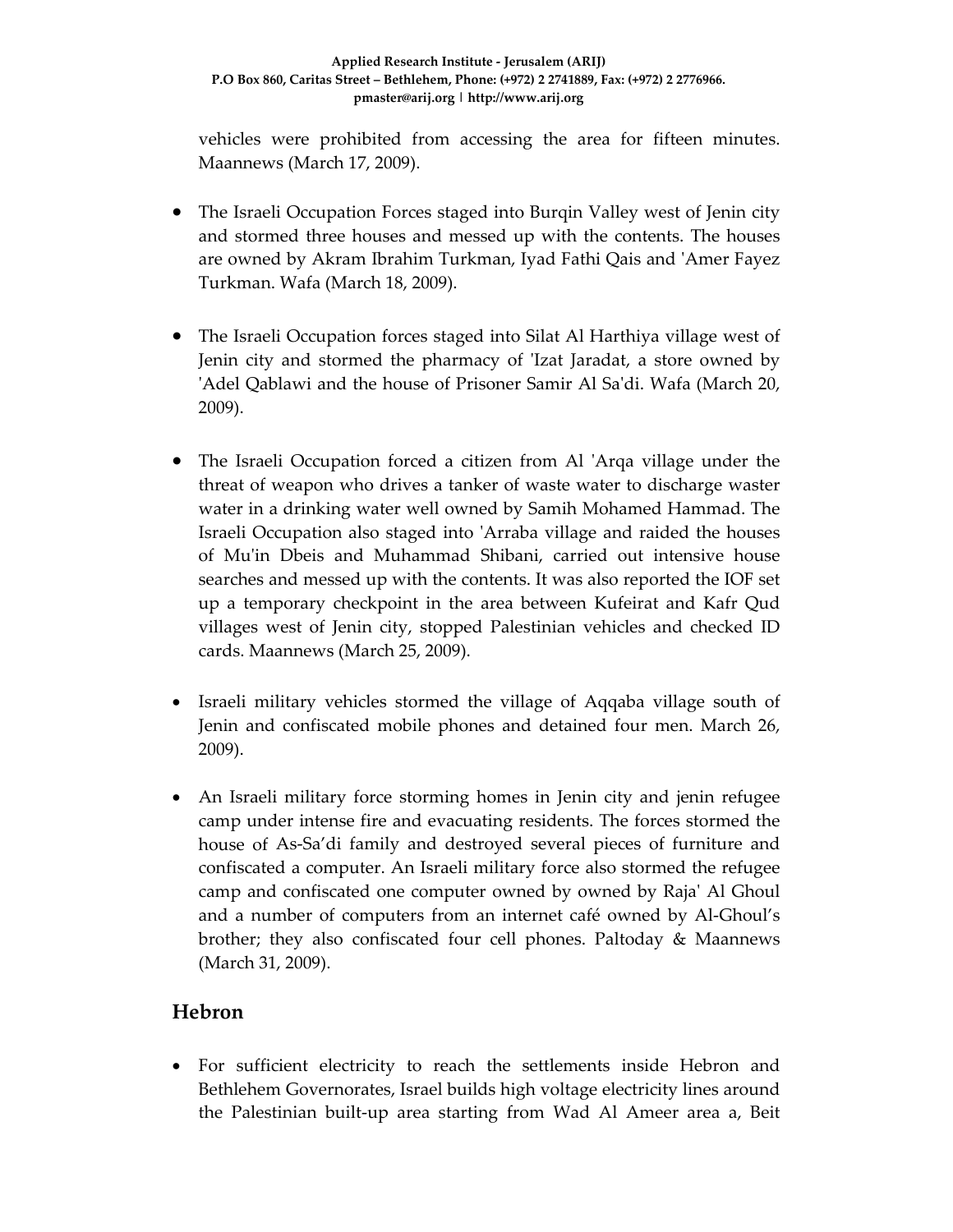vehicles were prohibited from accessing the area for fifteen minutes. Maannews (March 17, 2009).

- The Israeli Occupation Forces staged into Burgin Valley west of Jenin city and stormed three houses and messed up with the contents. The houses are owned by Akram Ibrahim Turkman, Iyad Fathi Qais and ʹAmer Fayez Turkman. Wafa (March 18, 2009).
- The Israeli Occupation forces staged into Silat Al Harthiya village west of Jenin city and stormed the pharmacy of 'Izat Jaradat, a store owned by 'Adel Qablawi and the house of Prisoner Samir Al Sa'di. Wafa (March 20, 2009).
- The Israeli Occupation forced a citizen from Al 'Arqa village under the threat of weapon who drives a tanker of waste water to discharge waster water in a drinking water well owned by Samih Mohamed Hammad. The Israeli Occupation also staged into 'Arraba village and raided the houses of Muʹin Dbeis and Muhammad Shibani, carried out intensive house searches and messed up with the contents. It was also reported the IOF set up a temporary checkpoint in the area between Kufeirat and Kafr Qud villages west of Jenin city, stopped Palestinian vehicles and checked ID cards. Maannews (March 25, 2009).
- Israeli military vehicles stormed the village of Aqqaba village south of Jenin and confiscated mobile phones and detained four men. March 26, 2009).
- An Israeli military force storming homes in Jenin city and jenin refugee camp under intense fire and evacuating residents. The forces stormed the house of As‐Sa'di family and destroyed several pieces of furniture and confiscated a computer. An Israeli military force also stormed the refugee camp and confiscated one computer owned by owned by Rajaʹ Al Ghoul and a number of computers from an internet café owned by Al‐Ghoul's brother; they also confiscated four cell phones. Paltoday & Maannews (March 31, 2009).

# **Hebron**

• For sufficient electricity to reach the settlements inside Hebron and Bethlehem Governorates, Israel builds high voltage electricity lines around the Palestinian built‐up area starting from Wad Al Ameer area a, Beit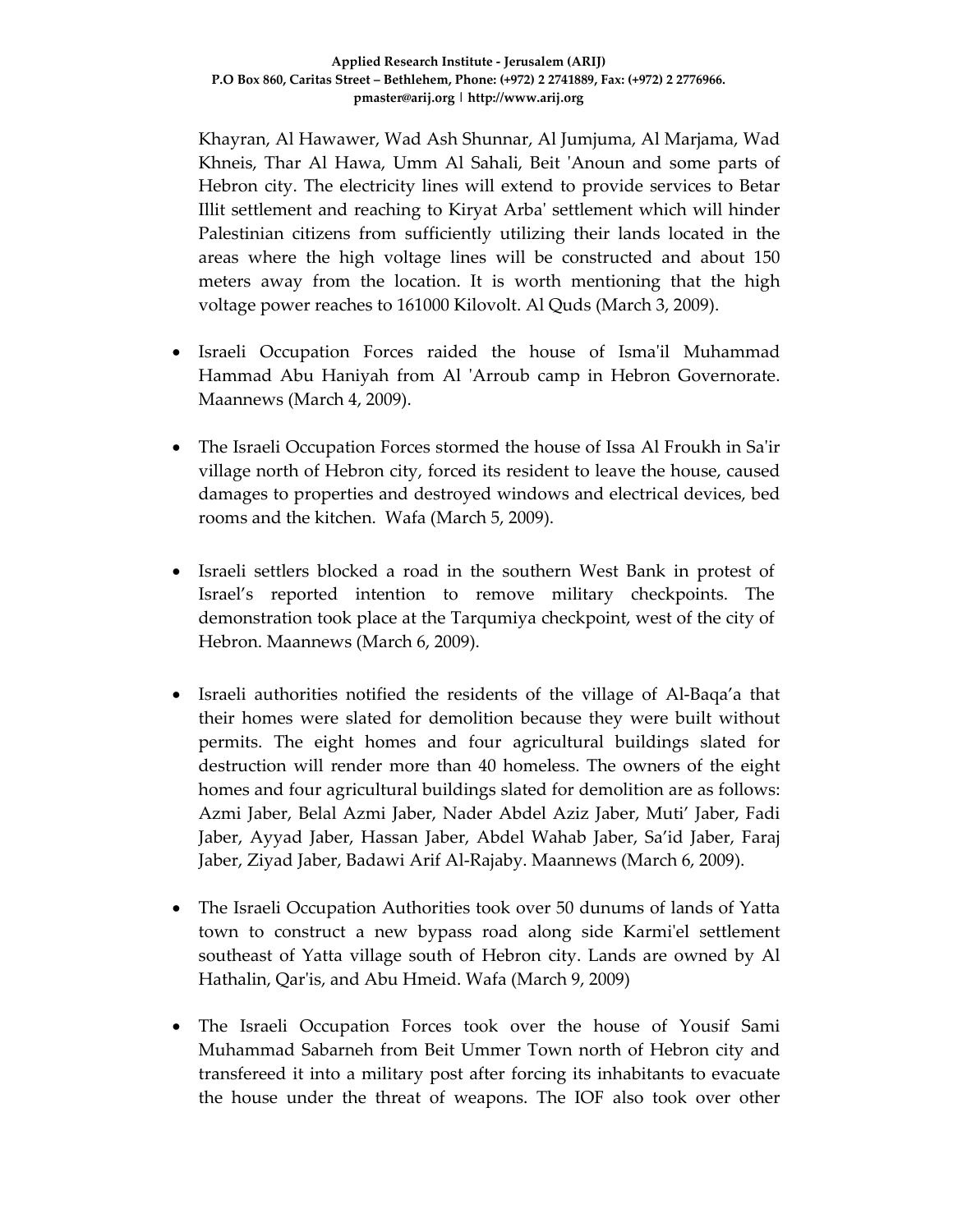Khayran, Al Hawawer, Wad Ash Shunnar, Al Jumjuma, Al Marjama, Wad Khneis, Thar Al Hawa, Umm Al Sahali, Beit 'Anoun and some parts of Hebron city. The electricity lines will extend to provide services to Betar Illit settlement and reaching to Kiryat Arbaʹ settlement which will hinder Palestinian citizens from sufficiently utilizing their lands located in the areas where the high voltage lines will be constructed and about 150 meters away from the location. It is worth mentioning that the high voltage power reaches to 161000 Kilovolt. Al Quds (March 3, 2009).

- Israeli Occupation Forces raided the house of Isma'il Muhammad Hammad Abu Haniyah from Al 'Arroub camp in Hebron Governorate. Maannews (March 4, 2009).
- The Israeli Occupation Forces stormed the house of Issa Al Froukh in Saʹir village north of Hebron city, forced its resident to leave the house, caused damages to properties and destroyed windows and electrical devices, bed rooms and the kitchen. Wafa (March 5, 2009).
- Israeli settlers blocked a road in the southern West Bank in protest of Israel's reported intention to remove military checkpoints. The demonstration took place at the Tarqumiya checkpoint, west of the city of Hebron. Maannews (March 6, 2009).
- Israeli authorities notified the residents of the village of Al-Baqa'a that their homes were slated for demolition because they were built without permits. The eight homes and four agricultural buildings slated for destruction will render more than 40 homeless. The owners of the eight homes and four agricultural buildings slated for demolition are as follows: Azmi Jaber, Belal Azmi Jaber, Nader Abdel Aziz Jaber, Muti' Jaber, Fadi Jaber, Ayyad Jaber, Hassan Jaber, Abdel Wahab Jaber, Sa'id Jaber, Faraj Jaber, Ziyad Jaber, Badawi Arif Al‐Rajaby. Maannews (March 6, 2009).
- The Israeli Occupation Authorities took over 50 dunums of lands of Yatta town to construct a new bypass road along side Karmiʹel settlement southeast of Yatta village south of Hebron city. Lands are owned by Al Hathalin, Qar'is, and Abu Hmeid. Wafa (March 9, 2009)
- The Israeli Occupation Forces took over the house of Yousif Sami Muhammad Sabarneh from Beit Ummer Town north of Hebron city and transfereed it into a military post after forcing its inhabitants to evacuate the house under the threat of weapons. The IOF also took over other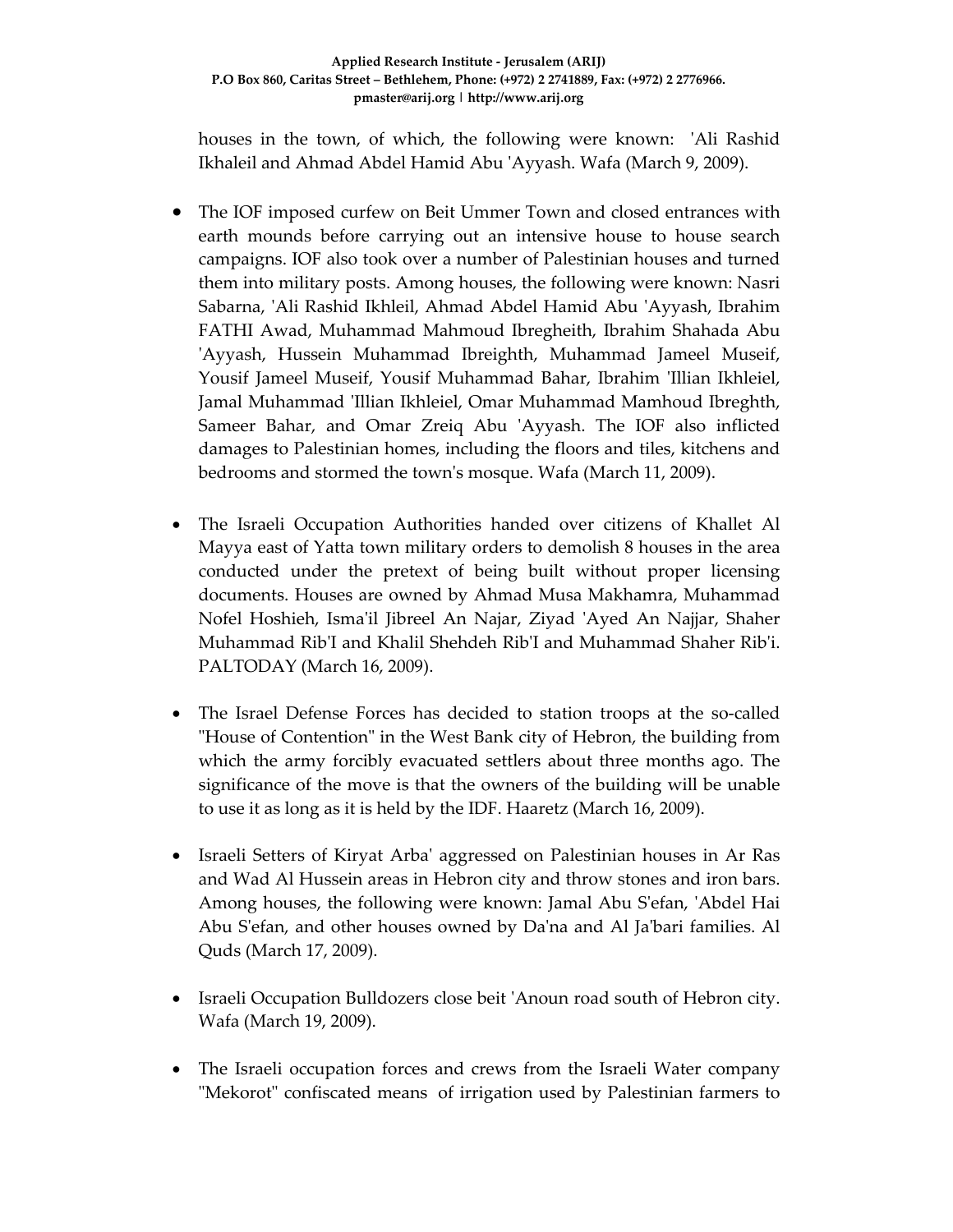houses in the town, of which, the following were known: 'Ali Rashid Ikhaleil and Ahmad Abdel Hamid Abu ʹAyyash. Wafa (March 9, 2009).

- The IOF imposed curfew on Beit Ummer Town and closed entrances with earth mounds before carrying out an intensive house to house search campaigns. IOF also took over a number of Palestinian houses and turned them into military posts. Among houses, the following were known: Nasri Sabarna, ʹAli Rashid Ikhleil, Ahmad Abdel Hamid Abu ʹAyyash, Ibrahim FATHI Awad, Muhammad Mahmoud Ibregheith, Ibrahim Shahada Abu ʹAyyash, Hussein Muhammad Ibreighth, Muhammad Jameel Museif, Yousif Jameel Museif, Yousif Muhammad Bahar, Ibrahim 'Illian Ikhleiel, Jamal Muhammad 'Illian Ikhleiel, Omar Muhammad Mamhoud Ibreghth, Sameer Bahar, and Omar Zreiq Abu 'Ayyash. The IOF also inflicted damages to Palestinian homes, including the floors and tiles, kitchens and bedrooms and stormed the townʹs mosque. Wafa (March 11, 2009).
- The Israeli Occupation Authorities handed over citizens of Khallet Al Mayya east of Yatta town military orders to demolish 8 houses in the area conducted under the pretext of being built without proper licensing documents. Houses are owned by Ahmad Musa Makhamra, Muhammad Nofel Hoshieh, Ismaʹil Jibreel An Najar, Ziyad ʹAyed An Najjar, Shaher Muhammad RibʹI and Khalil Shehdeh RibʹI and Muhammad Shaher Ribʹi. PALTODAY (March 16, 2009).
- The Israel Defense Forces has decided to station troops at the so-called "House of Contention" in the West Bank city of Hebron, the building from which the army forcibly evacuated settlers about three months ago. The significance of the move is that the owners of the building will be unable to use it as long as it is held by the IDF. Haaretz (March 16, 2009).
- Israeli Setters of Kiryat Arba' aggressed on Palestinian houses in Ar Ras and Wad Al Hussein areas in Hebron city and throw stones and iron bars. Among houses, the following were known: Jamal Abu S'efan, 'Abdel Hai Abu S'efan, and other houses owned by Da'na and Al Ja'bari families. Al Quds (March 17, 2009).
- Israeli Occupation Bulldozers close beit 'Anoun road south of Hebron city. Wafa (March 19, 2009).
- The Israeli occupation forces and crews from the Israeli Water company "Mekorot" confiscated means of irrigation used by Palestinian farmers to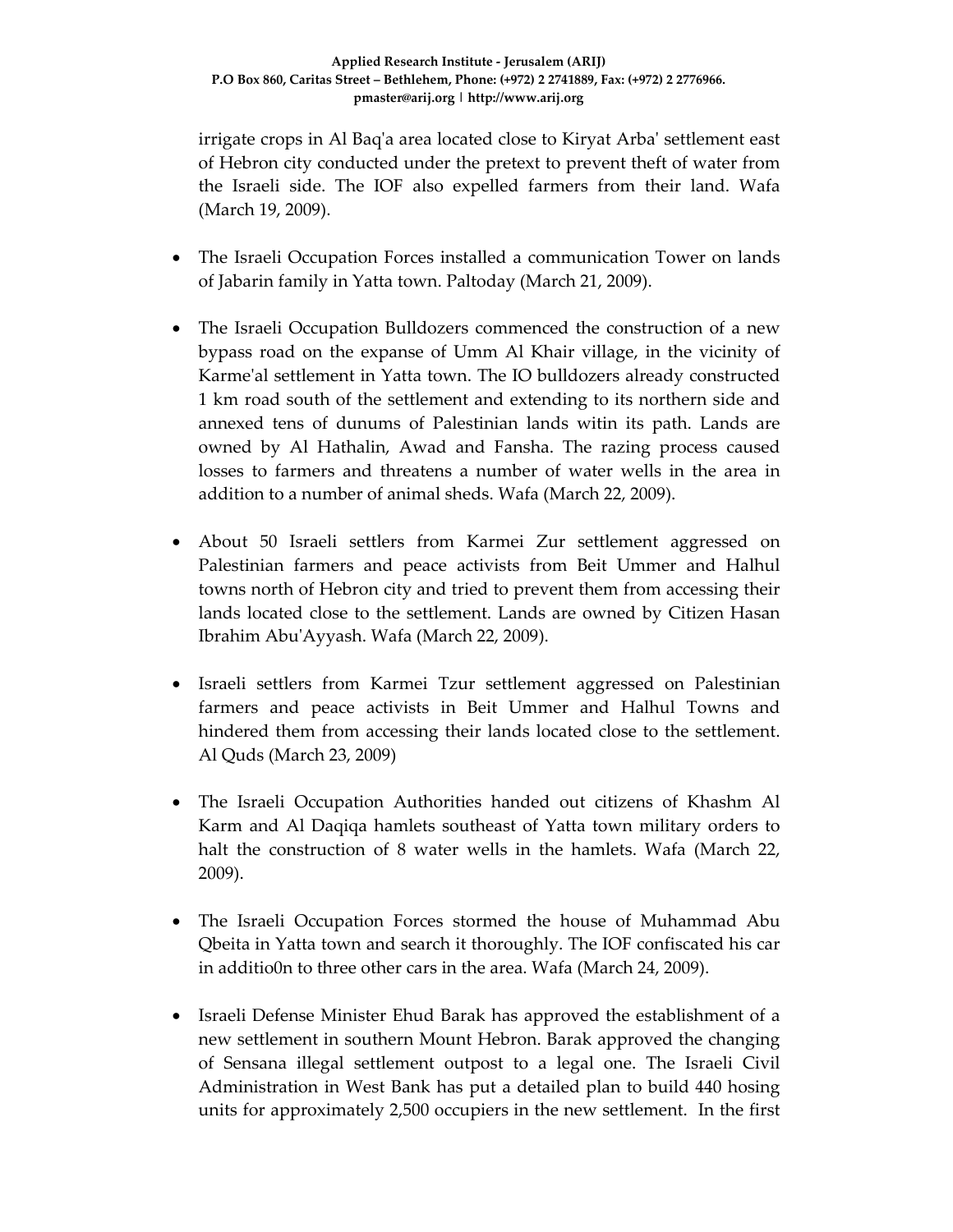irrigate crops in Al Baqʹa area located close to Kiryat Arbaʹ settlement east of Hebron city conducted under the pretext to prevent theft of water from the Israeli side. The IOF also expelled farmers from their land. Wafa (March 19, 2009).

- The Israeli Occupation Forces installed a communication Tower on lands of Jabarin family in Yatta town. Paltoday (March 21, 2009).
- The Israeli Occupation Bulldozers commenced the construction of a new bypass road on the expanse of Umm Al Khair village, in the vicinity of Karme'al settlement in Yatta town. The IO bulldozers already constructed 1 km road south of the settlement and extending to its northern side and annexed tens of dunums of Palestinian lands witin its path. Lands are owned by Al Hathalin, Awad and Fansha. The razing process caused losses to farmers and threatens a number of water wells in the area in addition to a number of animal sheds. Wafa (March 22, 2009).
- About 50 Israeli settlers from Karmei Zur settlement aggressed on Palestinian farmers and peace activists from Beit Ummer and Halhul towns north of Hebron city and tried to prevent them from accessing their lands located close to the settlement. Lands are owned by Citizen Hasan Ibrahim AbuʹAyyash. Wafa (March 22, 2009).
- Israeli settlers from Karmei Tzur settlement aggressed on Palestinian farmers and peace activists in Beit Ummer and Halhul Towns and hindered them from accessing their lands located close to the settlement. Al Quds (March 23, 2009)
- The Israeli Occupation Authorities handed out citizens of Khashm Al Karm and Al Daqiqa hamlets southeast of Yatta town military orders to halt the construction of 8 water wells in the hamlets. Wafa (March 22, 2009).
- The Israeli Occupation Forces stormed the house of Muhammad Abu Qbeita in Yatta town and search it thoroughly. The IOF confiscated his car in additio0n to three other cars in the area. Wafa (March 24, 2009).
- Israeli Defense Minister Ehud Barak has approved the establishment of a new settlement in southern Mount Hebron. Barak approved the changing of Sensana illegal settlement outpost to a legal one. The Israeli Civil Administration in West Bank has put a detailed plan to build 440 hosing units for approximately 2,500 occupiers in the new settlement. In the first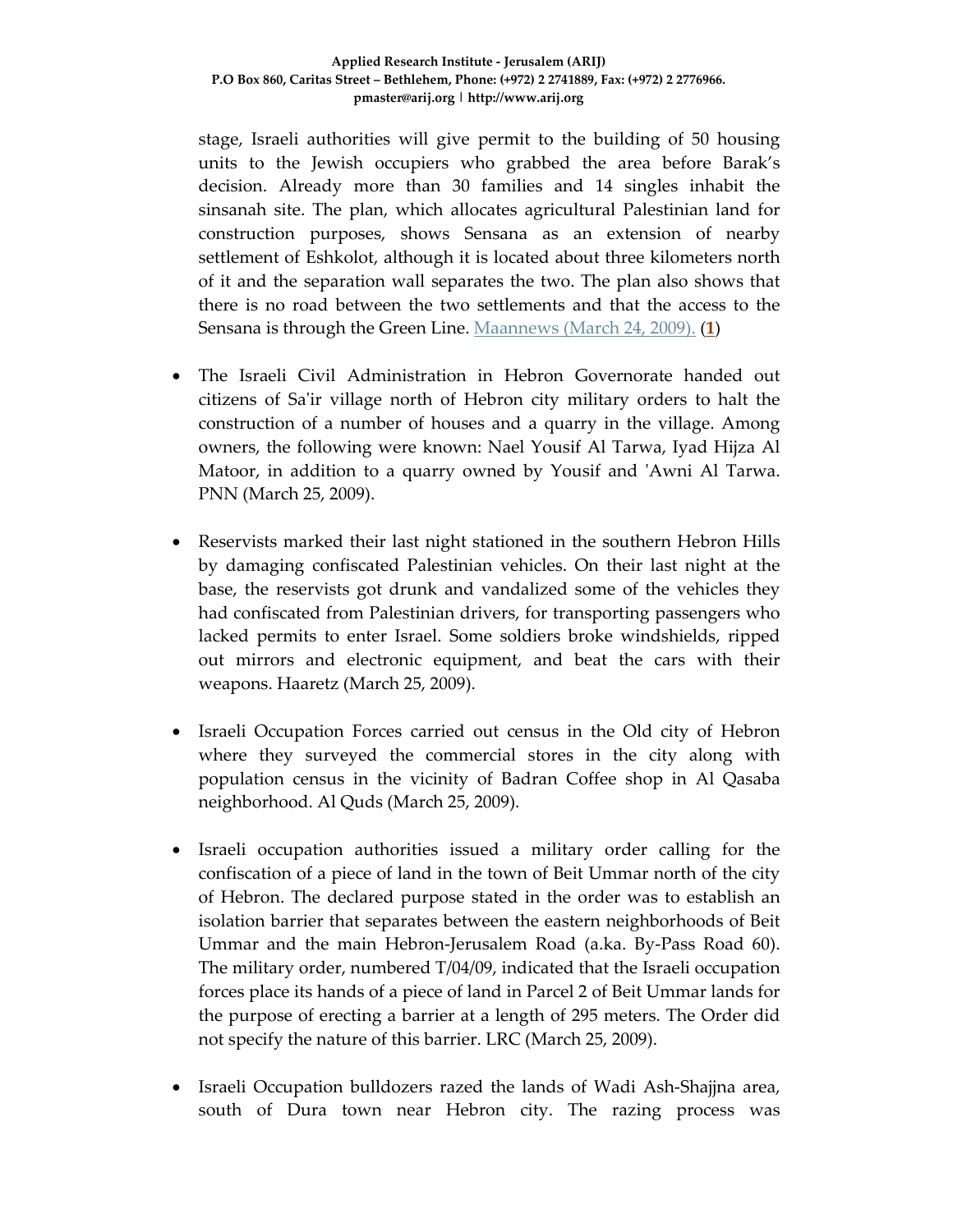stage, Israeli authorities will give permit to the building of 50 housing units to the Jewish occupiers who grabbed the area before Barak's decision. Already more than 30 families and 14 singles inhabit the sinsanah site. The plan, which allocates agricultural Palestinian land for construction purposes, shows Sensana as an extension of nearby settlement of Eshkolot, although it is located about three kilometers north of it and the separation wall separates the two. The plan also shows that there is no road between the two settlements and that the access to the Sensana is through the Green Line. Maannews (March 24, 2009). (**1**)

- The Israeli Civil Administration in Hebron Governorate handed out citizens of Saʹir village north of Hebron city military orders to halt the construction of a number of houses and a quarry in the village. Among owners, the following were known: Nael Yousif Al Tarwa, Iyad Hijza Al Matoor, in addition to a quarry owned by Yousif and 'Awni Al Tarwa. PNN (March 25, 2009).
- Reservists marked their last night stationed in the southern Hebron Hills by damaging confiscated Palestinian vehicles. On their last night at the base, the reservists got drunk and vandalized some of the vehicles they had confiscated from Palestinian drivers, for transporting passengers who lacked permits to enter Israel. Some soldiers broke windshields, ripped out mirrors and electronic equipment, and beat the cars with their weapons. Haaretz (March 25, 2009).
- Israeli Occupation Forces carried out census in the Old city of Hebron where they surveyed the commercial stores in the city along with population census in the vicinity of Badran Coffee shop in Al Qasaba neighborhood. Al Quds (March 25, 2009).
- Israeli occupation authorities issued a military order calling for the confiscation of a piece of land in the town of Beit Ummar north of the city of Hebron. The declared purpose stated in the order was to establish an isolation barrier that separates between the eastern neighborhoods of Beit Ummar and the main Hebron‐Jerusalem Road (a.ka. By‐Pass Road 60). The military order, numbered T/04/09, indicated that the Israeli occupation forces place its hands of a piece of land in Parcel 2 of Beit Ummar lands for the purpose of erecting a barrier at a length of 295 meters. The Order did not specify the nature of this barrier. LRC (March 25, 2009).
- Israeli Occupation bulldozers razed the lands of Wadi Ash-Shajjna area, south of Dura town near Hebron city. The razing process was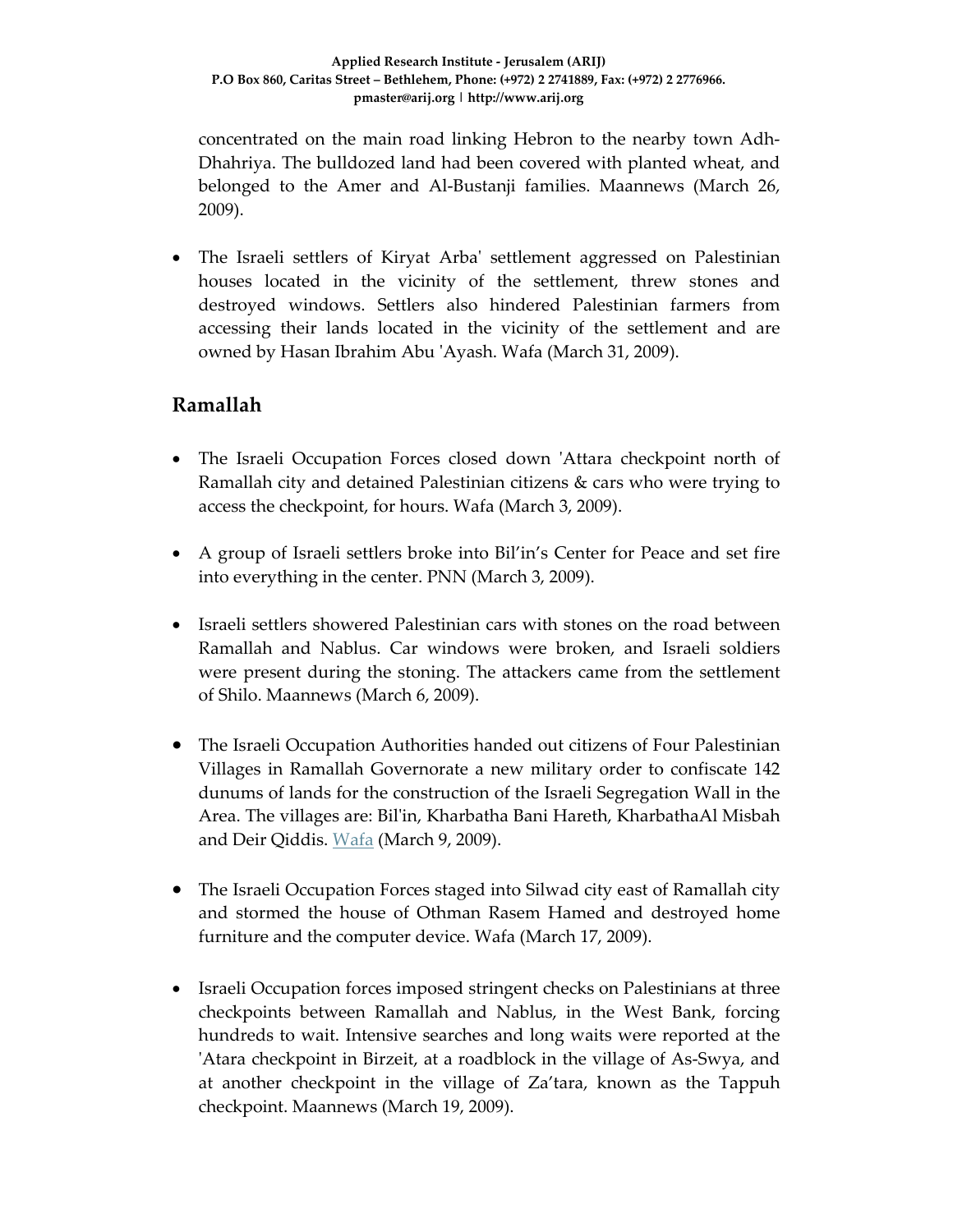concentrated on the main road linking Hebron to the nearby town Adh‐ Dhahriya. The bulldozed land had been covered with planted wheat, and belonged to the Amer and Al‐Bustanji families. Maannews (March 26, 2009).

• The Israeli settlers of Kiryat Arba' settlement aggressed on Palestinian houses located in the vicinity of the settlement, threw stones and destroyed windows. Settlers also hindered Palestinian farmers from accessing their lands located in the vicinity of the settlement and are owned by Hasan Ibrahim Abu ʹAyash. Wafa (March 31, 2009).

# **Ramallah**

- The Israeli Occupation Forces closed down 'Attara checkpoint north of Ramallah city and detained Palestinian citizens & cars who were trying to access the checkpoint, for hours. Wafa (March 3, 2009).
- A group of Israeli settlers broke into Bil'in's Center for Peace and set fire into everything in the center. PNN (March 3, 2009).
- Israeli settlers showered Palestinian cars with stones on the road between Ramallah and Nablus. Car windows were broken, and Israeli soldiers were present during the stoning. The attackers came from the settlement of Shilo. Maannews (March 6, 2009).
- The Israeli Occupation Authorities handed out citizens of Four Palestinian Villages in Ramallah Governorate a new military order to confiscate 142 dunums of lands for the construction of the Israeli Segregation Wall in the Area. The villages are: Bilʹin, Kharbatha Bani Hareth, KharbathaAl Misbah and Deir Qiddis. Wafa (March 9, 2009).
- The Israeli Occupation Forces staged into Silwad city east of Ramallah city and stormed the house of Othman Rasem Hamed and destroyed home furniture and the computer device. Wafa (March 17, 2009).
- Israeli Occupation forces imposed stringent checks on Palestinians at three checkpoints between Ramallah and Nablus, in the West Bank, forcing hundreds to wait. Intensive searches and long waits were reported at the 'Atara checkpoint in Birzeit, at a roadblock in the village of As-Swya, and at another checkpoint in the village of Za'tara, known as the Tappuh checkpoint. Maannews (March 19, 2009).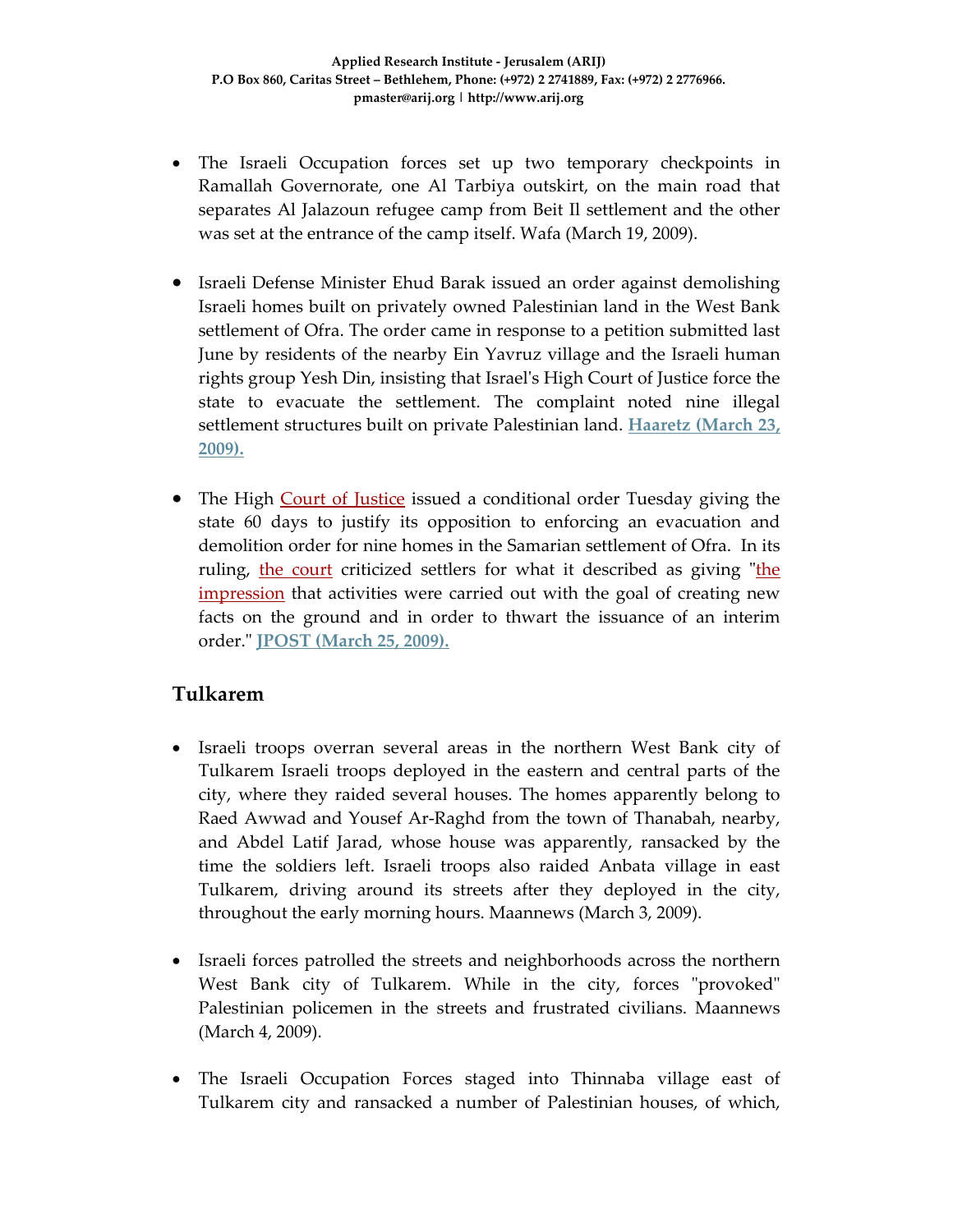- The Israeli Occupation forces set up two temporary checkpoints in Ramallah Governorate, one Al Tarbiya outskirt, on the main road that separates Al Jalazoun refugee camp from Beit Il settlement and the other was set at the entrance of the camp itself. Wafa (March 19, 2009).
- Israeli Defense Minister Ehud Barak issued an order against demolishing Israeli homes built on privately owned Palestinian land in the West Bank settlement of Ofra. The order came in response to a petition submitted last June by residents of the nearby Ein Yavruz village and the Israeli human rights group Yesh Din, insisting that Israelʹs High Court of Justice force the state to evacuate the settlement. The complaint noted nine illegal settlement structures built on private Palestinian land. **Haaretz (March 23, 2009).**
- The High Court of Justice issued a conditional order Tuesday giving the state 60 days to justify its opposition to enforcing an evacuation and demolition order for nine homes in the Samarian settlement of Ofra. In its ruling, the court criticized settlers for what it described as giving "the impression that activities were carried out with the goal of creating new facts on the ground and in order to thwart the issuance of an interim order.ʺ **JPOST (March 25, 2009).**

## **Tulkarem**

- Israeli troops overran several areas in the northern West Bank city of Tulkarem Israeli troops deployed in the eastern and central parts of the city, where they raided several houses. The homes apparently belong to Raed Awwad and Yousef Ar‐Raghd from the town of Thanabah, nearby, and Abdel Latif Jarad, whose house was apparently, ransacked by the time the soldiers left. Israeli troops also raided Anbata village in east Tulkarem, driving around its streets after they deployed in the city, throughout the early morning hours. Maannews (March 3, 2009).
- Israeli forces patrolled the streets and neighborhoods across the northern West Bank city of Tulkarem. While in the city, forces "provoked" Palestinian policemen in the streets and frustrated civilians. Maannews (March 4, 2009).
- The Israeli Occupation Forces staged into Thinnaba village east of Tulkarem city and ransacked a number of Palestinian houses, of which,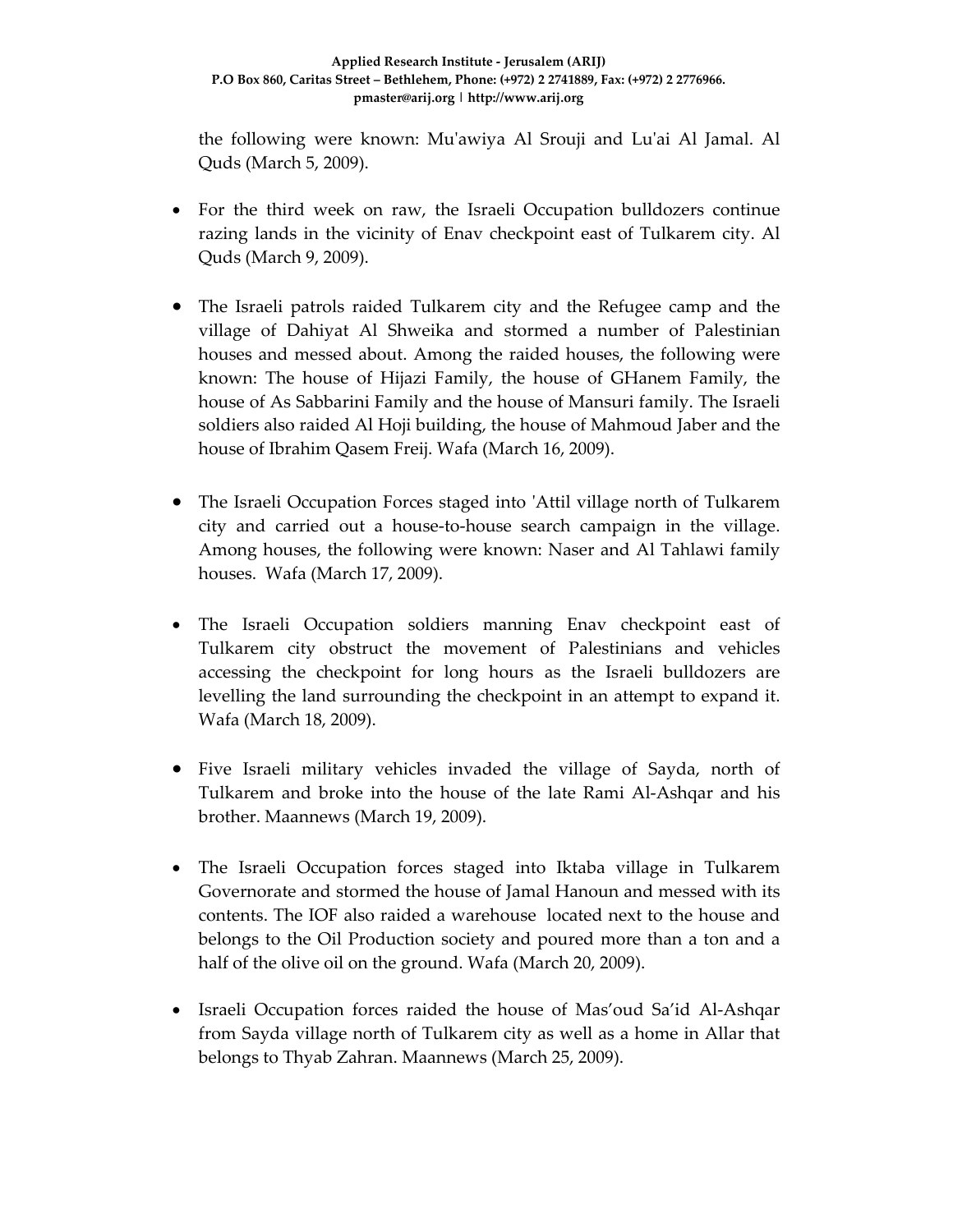the following were known: Muʹawiya Al Srouji and Luʹai Al Jamal. Al Quds (March 5, 2009).

- For the third week on raw, the Israeli Occupation bulldozers continue razing lands in the vicinity of Enav checkpoint east of Tulkarem city. Al Quds (March 9, 2009).
- The Israeli patrols raided Tulkarem city and the Refugee camp and the village of Dahiyat Al Shweika and stormed a number of Palestinian houses and messed about. Among the raided houses, the following were known: The house of Hijazi Family, the house of GHanem Family, the house of As Sabbarini Family and the house of Mansuri family. The Israeli soldiers also raided Al Hoji building, the house of Mahmoud Jaber and the house of Ibrahim Qasem Freij. Wafa (March 16, 2009).
- The Israeli Occupation Forces staged into ʹAttil village north of Tulkarem city and carried out a house‐to‐house search campaign in the village. Among houses, the following were known: Naser and Al Tahlawi family houses. Wafa (March 17, 2009).
- The Israeli Occupation soldiers manning Enav checkpoint east of Tulkarem city obstruct the movement of Palestinians and vehicles accessing the checkpoint for long hours as the Israeli bulldozers are levelling the land surrounding the checkpoint in an attempt to expand it. Wafa (March 18, 2009).
- Five Israeli military vehicles invaded the village of Sayda, north of Tulkarem and broke into the house of the late Rami Al‐Ashqar and his brother. Maannews (March 19, 2009).
- The Israeli Occupation forces staged into Iktaba village in Tulkarem Governorate and stormed the house of Jamal Hanoun and messed with its contents. The IOF also raided a warehouse located next to the house and belongs to the Oil Production society and poured more than a ton and a half of the olive oil on the ground. Wafa (March 20, 2009).
- Israeli Occupation forces raided the house of Mas'oud Sa'id Al-Ashqar from Sayda village north of Tulkarem city as well as a home in Allar that belongs to Thyab Zahran. Maannews (March 25, 2009).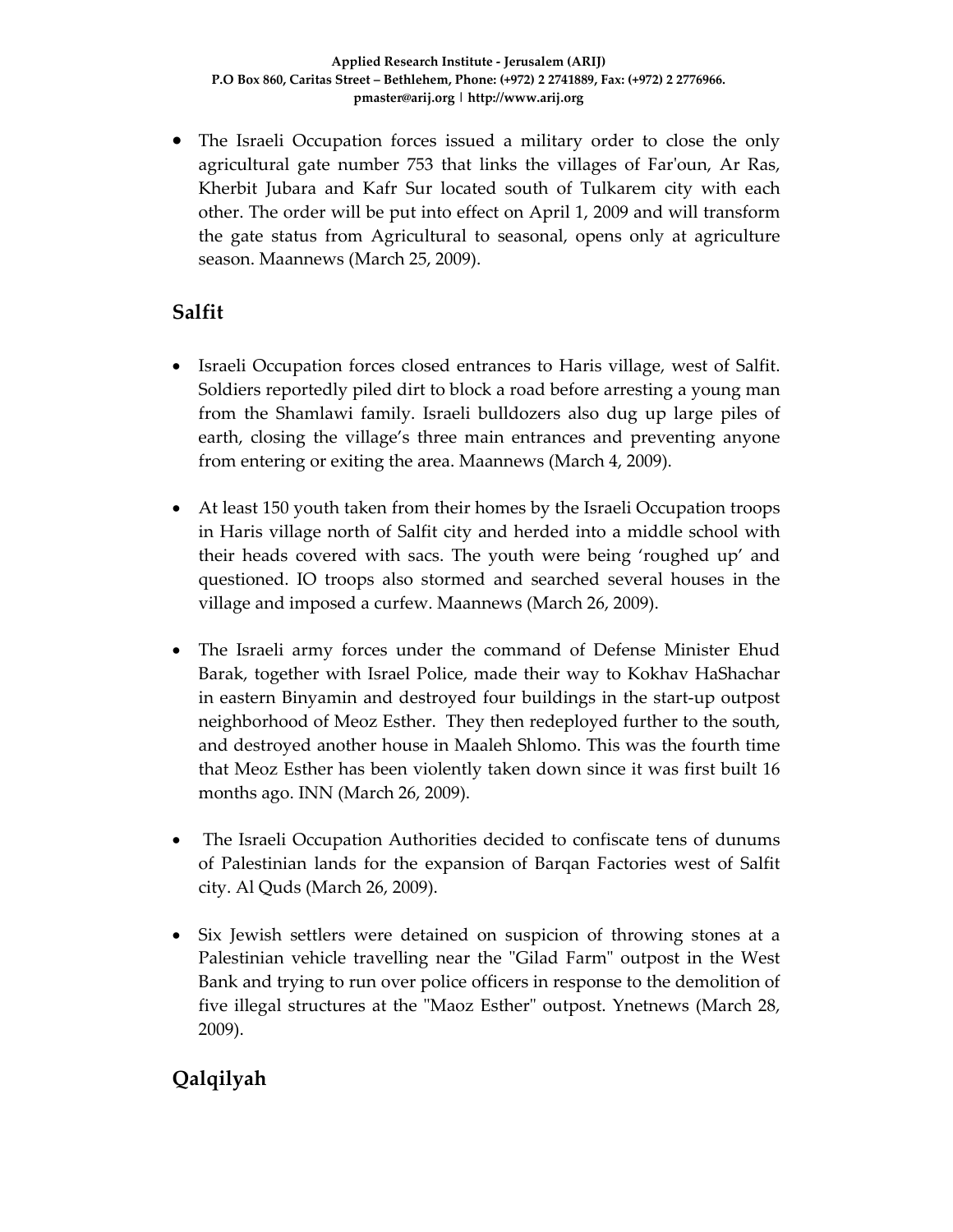• The Israeli Occupation forces issued a military order to close the only agricultural gate number 753 that links the villages of Far'oun, Ar Ras, Kherbit Jubara and Kafr Sur located south of Tulkarem city with each other. The order will be put into effect on April 1, 2009 and will transform the gate status from Agricultural to seasonal, opens only at agriculture season. Maannews (March 25, 2009).

#### **Salfit**

- Israeli Occupation forces closed entrances to Haris village, west of Salfit. Soldiers reportedly piled dirt to block a road before arresting a young man from the Shamlawi family. Israeli bulldozers also dug up large piles of earth, closing the village's three main entrances and preventing anyone from entering or exiting the area. Maannews (March 4, 2009).
- At least 150 youth taken from their homes by the Israeli Occupation troops in Haris village north of Salfit city and herded into a middle school with their heads covered with sacs. The youth were being 'roughed up' and questioned. IO troops also stormed and searched several houses in the village and imposed a curfew. Maannews (March 26, 2009).
- The Israeli army forces under the command of Defense Minister Ehud Barak, together with Israel Police, made their way to Kokhav HaShachar in eastern Binyamin and destroyed four buildings in the start‐up outpost neighborhood of Meoz Esther. They then redeployed further to the south, and destroyed another house in Maaleh Shlomo. This was the fourth time that Meoz Esther has been violently taken down since it was first built 16 months ago. INN (March 26, 2009).
- The Israeli Occupation Authorities decided to confiscate tens of dunums of Palestinian lands for the expansion of Barqan Factories west of Salfit city. Al Quds (March 26, 2009).
- Six Jewish settlers were detained on suspicion of throwing stones at a Palestinian vehicle travelling near the "Gilad Farm" outpost in the West Bank and trying to run over police officers in response to the demolition of five illegal structures at the "Maoz Esther" outpost. Ynetnews (March 28, 2009).

# **Qalqilyah**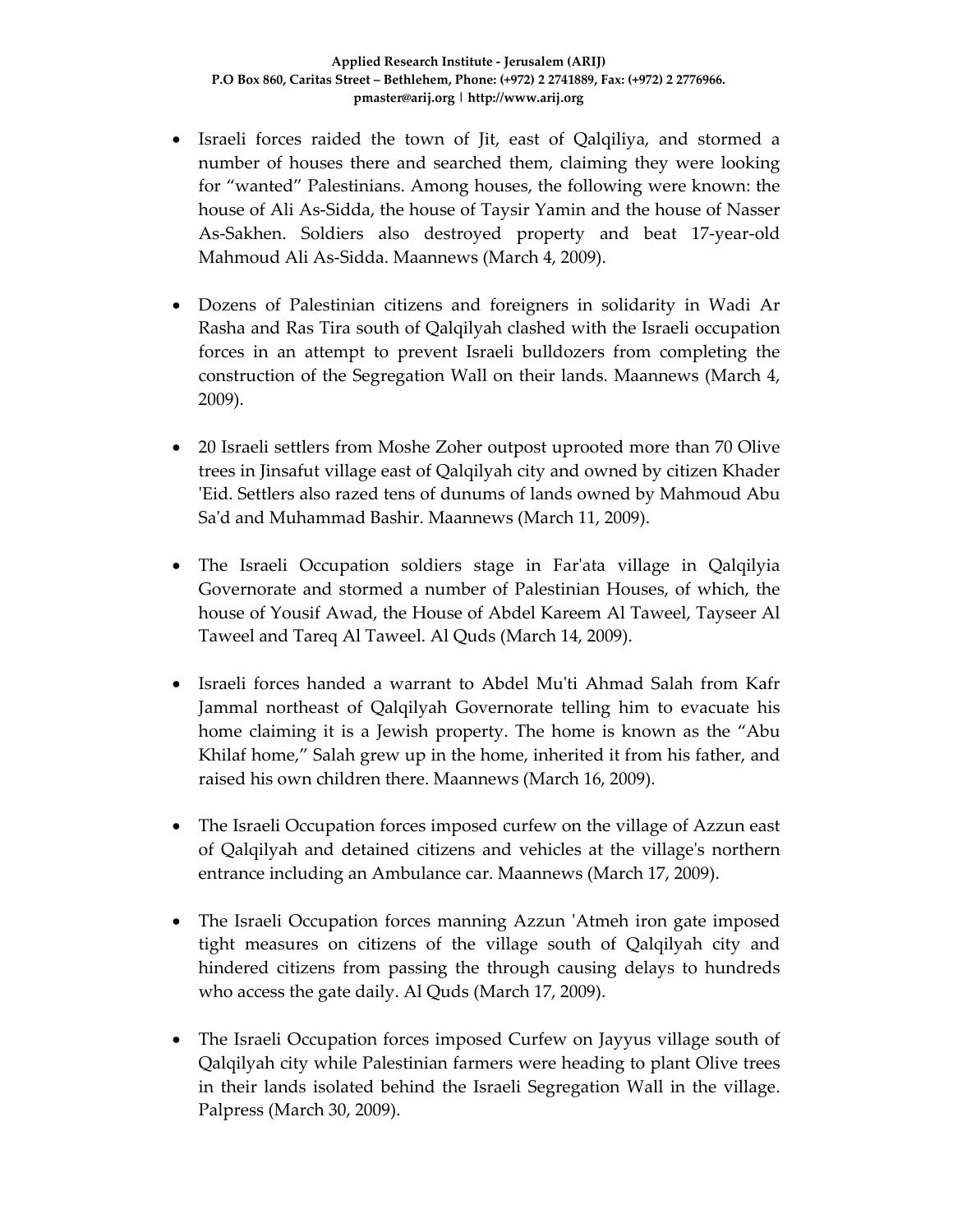- Israeli forces raided the town of Jit, east of Qalqiliya, and stormed a number of houses there and searched them, claiming they were looking for "wanted" Palestinians. Among houses, the following were known: the house of Ali As‐Sidda, the house of Taysir Yamin and the house of Nasser As‐Sakhen. Soldiers also destroyed property and beat 17‐year‐old Mahmoud Ali As‐Sidda. Maannews (March 4, 2009).
- Dozens of Palestinian citizens and foreigners in solidarity in Wadi Ar Rasha and Ras Tira south of Qalqilyah clashed with the Israeli occupation forces in an attempt to prevent Israeli bulldozers from completing the construction of the Segregation Wall on their lands. Maannews (March 4, 2009).
- 20 Israeli settlers from Moshe Zoher outpost uprooted more than 70 Olive trees in Jinsafut village east of Qalqilyah city and owned by citizen Khader ʹEid. Settlers also razed tens of dunums of lands owned by Mahmoud Abu Saʹd and Muhammad Bashir. Maannews (March 11, 2009).
- The Israeli Occupation soldiers stage in Far'ata village in Qalqilyia Governorate and stormed a number of Palestinian Houses, of which, the house of Yousif Awad, the House of Abdel Kareem Al Taweel, Tayseer Al Taweel and Tareq Al Taweel. Al Quds (March 14, 2009).
- Israeli forces handed a warrant to Abdel Muʹti Ahmad Salah from Kafr Jammal northeast of Qalqilyah Governorate telling him to evacuate his home claiming it is a Jewish property. The home is known as the "Abu Khilaf home," Salah grew up in the home, inherited it from his father, and raised his own children there. Maannews (March 16, 2009).
- The Israeli Occupation forces imposed curfew on the village of Azzun east of Qalqilyah and detained citizens and vehicles at the villageʹs northern entrance including an Ambulance car. Maannews (March 17, 2009).
- The Israeli Occupation forces manning Azzun 'Atmeh iron gate imposed tight measures on citizens of the village south of Qalqilyah city and hindered citizens from passing the through causing delays to hundreds who access the gate daily. Al Quds (March 17, 2009).
- The Israeli Occupation forces imposed Curfew on Jayyus village south of Qalqilyah city while Palestinian farmers were heading to plant Olive trees in their lands isolated behind the Israeli Segregation Wall in the village. Palpress (March 30, 2009).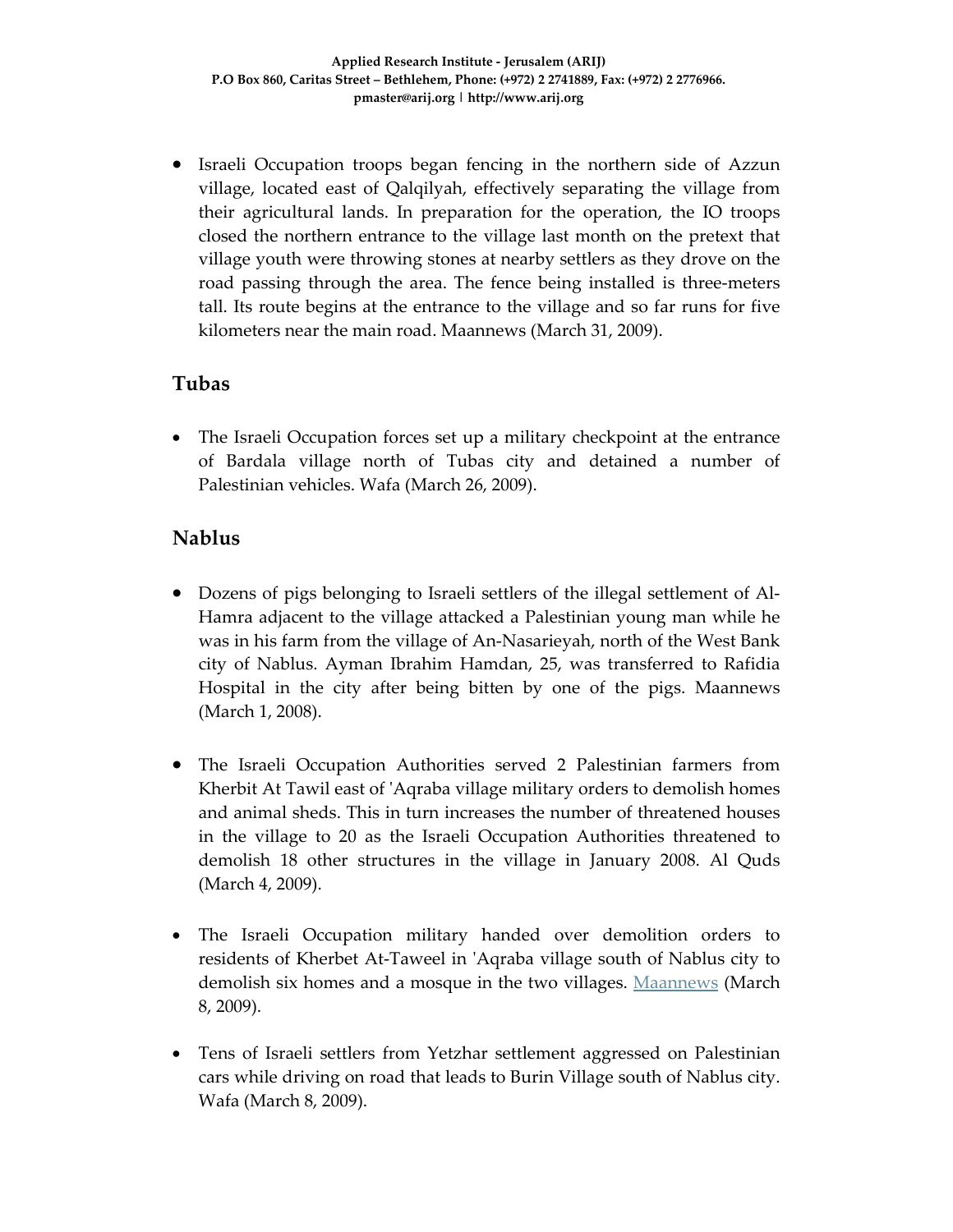• Israeli Occupation troops began fencing in the northern side of Azzun village, located east of Qalqilyah, effectively separating the village from their agricultural lands. In preparation for the operation, the IO troops closed the northern entrance to the village last month on the pretext that village youth were throwing stones at nearby settlers as they drove on the road passing through the area. The fence being installed is three-meters tall. Its route begins at the entrance to the village and so far runs for five kilometers near the main road. Maannews (March 31, 2009).

## **Tubas**

• The Israeli Occupation forces set up a military checkpoint at the entrance of Bardala village north of Tubas city and detained a number of Palestinian vehicles. Wafa (March 26, 2009).

#### **Nablus**

- Dozens of pigs belonging to Israeli settlers of the illegal settlement of Al‐ Hamra adjacent to the village attacked a Palestinian young man while he was in his farm from the village of An‐Nasarieyah, north of the West Bank city of Nablus. Ayman Ibrahim Hamdan, 25, was transferred to Rafidia Hospital in the city after being bitten by one of the pigs. Maannews (March 1, 2008).
- The Israeli Occupation Authorities served 2 Palestinian farmers from Kherbit At Tawil east of ʹAqraba village military orders to demolish homes and animal sheds. This in turn increases the number of threatened houses in the village to 20 as the Israeli Occupation Authorities threatened to demolish 18 other structures in the village in January 2008. Al Quds (March 4, 2009).
- The Israeli Occupation military handed over demolition orders to residents of Kherbet At‐Taweel in ʹAqraba village south of Nablus city to demolish six homes and a mosque in the two villages. Maannews (March 8, 2009).
- Tens of Israeli settlers from Yetzhar settlement aggressed on Palestinian cars while driving on road that leads to Burin Village south of Nablus city. Wafa (March 8, 2009).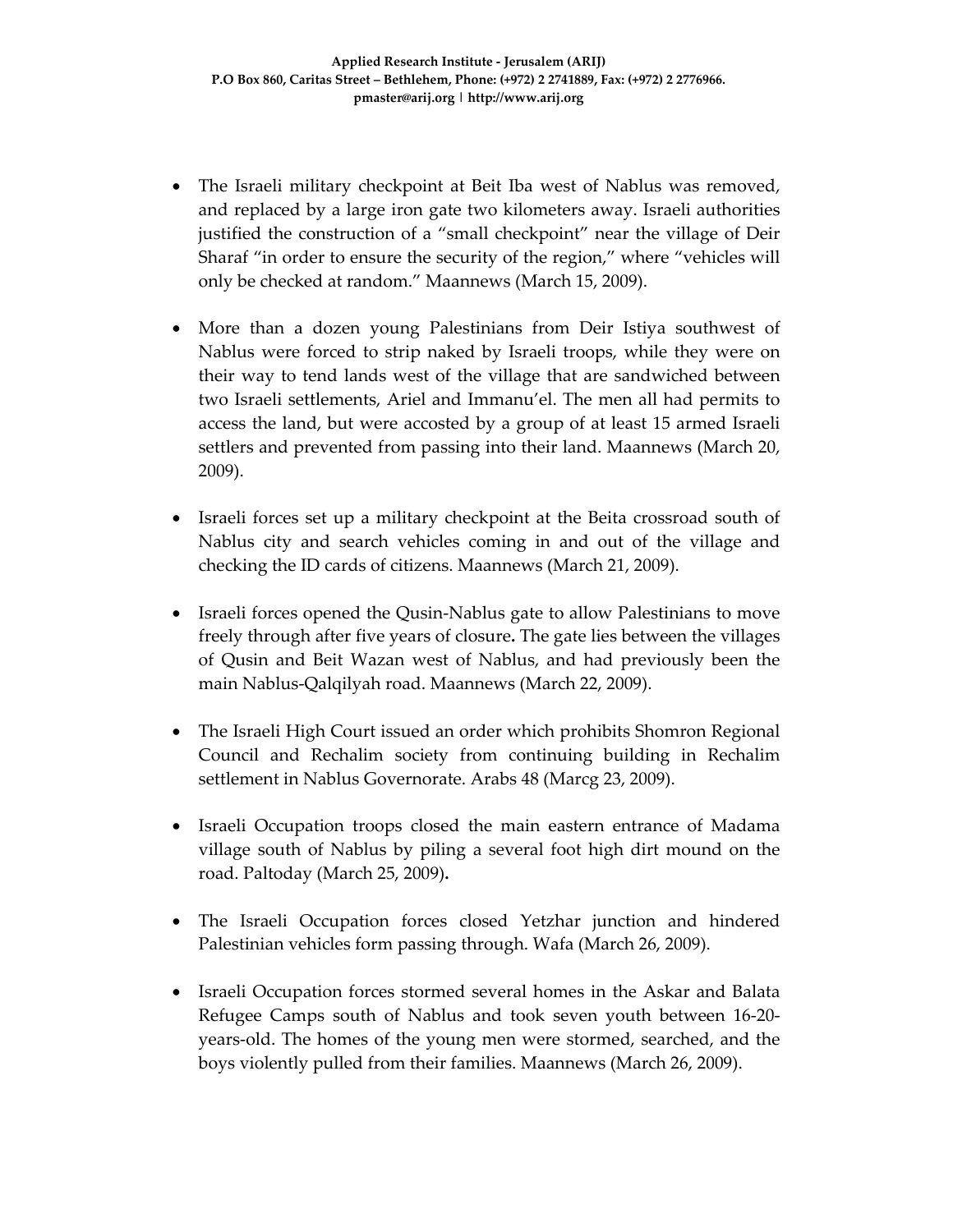- The Israeli military checkpoint at Beit Iba west of Nablus was removed, and replaced by a large iron gate two kilometers away. Israeli authorities justified the construction of a "small checkpoint" near the village of Deir Sharaf "in order to ensure the security of the region," where "vehicles will only be checked at random." Maannews (March 15, 2009).
- More than a dozen young Palestinians from Deir Istiya southwest of Nablus were forced to strip naked by Israeli troops, while they were on their way to tend lands west of the village that are sandwiched between two Israeli settlements, Ariel and Immanu'el. The men all had permits to access the land, but were accosted by a group of at least 15 armed Israeli settlers and prevented from passing into their land. Maannews (March 20, 2009).
- Israeli forces set up a military checkpoint at the Beita crossroad south of Nablus city and search vehicles coming in and out of the village and checking the ID cards of citizens. Maannews (March 21, 2009).
- Israeli forces opened the Qusin-Nablus gate to allow Palestinians to move freely through after five years of closure**.** The gate lies between the villages of Qusin and Beit Wazan west of Nablus, and had previously been the main Nablus‐Qalqilyah road. Maannews (March 22, 2009).
- The Israeli High Court issued an order which prohibits Shomron Regional Council and Rechalim society from continuing building in Rechalim settlement in Nablus Governorate. Arabs 48 (Marcg 23, 2009).
- Israeli Occupation troops closed the main eastern entrance of Madama village south of Nablus by piling a several foot high dirt mound on the road. Paltoday (March 25, 2009)**.**
- The Israeli Occupation forces closed Yetzhar junction and hindered Palestinian vehicles form passing through. Wafa (March 26, 2009).
- Israeli Occupation forces stormed several homes in the Askar and Balata Refugee Camps south of Nablus and took seven youth between 16‐20‐ years‐old. The homes of the young men were stormed, searched, and the boys violently pulled from their families. Maannews (March 26, 2009).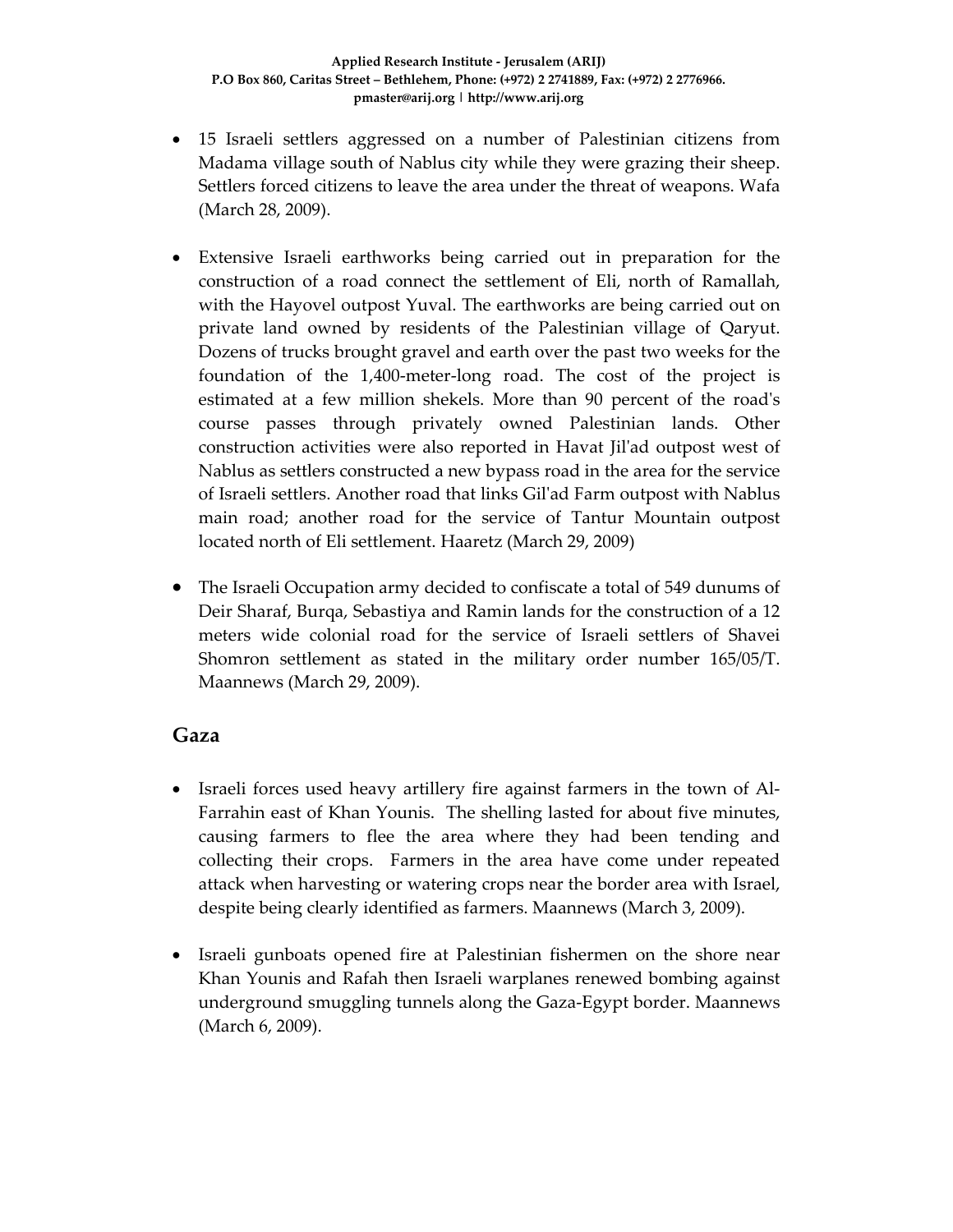- 15 Israeli settlers aggressed on a number of Palestinian citizens from Madama village south of Nablus city while they were grazing their sheep. Settlers forced citizens to leave the area under the threat of weapons. Wafa (March 28, 2009).
- Extensive Israeli earthworks being carried out in preparation for the construction of a road connect the settlement of Eli, north of Ramallah, with the Hayovel outpost Yuval. The earthworks are being carried out on private land owned by residents of the Palestinian village of Qaryut. Dozens of trucks brought gravel and earth over the past two weeks for the foundation of the 1,400-meter-long road. The cost of the project is estimated at a few million shekels. More than 90 percent of the roadʹs course passes through privately owned Palestinian lands. Other construction activities were also reported in Havat Jilʹad outpost west of Nablus as settlers constructed a new bypass road in the area for the service of Israeli settlers. Another road that links Gilʹad Farm outpost with Nablus main road; another road for the service of Tantur Mountain outpost located north of Eli settlement. Haaretz (March 29, 2009)
- The Israeli Occupation army decided to confiscate a total of 549 dunums of Deir Sharaf, Burqa, Sebastiya and Ramin lands for the construction of a 12 meters wide colonial road for the service of Israeli settlers of Shavei Shomron settlement as stated in the military order number 165/05/T. Maannews (March 29, 2009).

#### **Gaza**

- Israeli forces used heavy artillery fire against farmers in the town of Al-Farrahin east of Khan Younis. The shelling lasted for about five minutes, causing farmers to flee the area where they had been tending and collecting their crops. Farmers in the area have come under repeated attack when harvesting or watering crops near the border area with Israel, despite being clearly identified as farmers. Maannews (March 3, 2009).
- Israeli gunboats opened fire at Palestinian fishermen on the shore near Khan Younis and Rafah then Israeli warplanes renewed bombing against underground smuggling tunnels along the Gaza‐Egypt border. Maannews (March 6, 2009).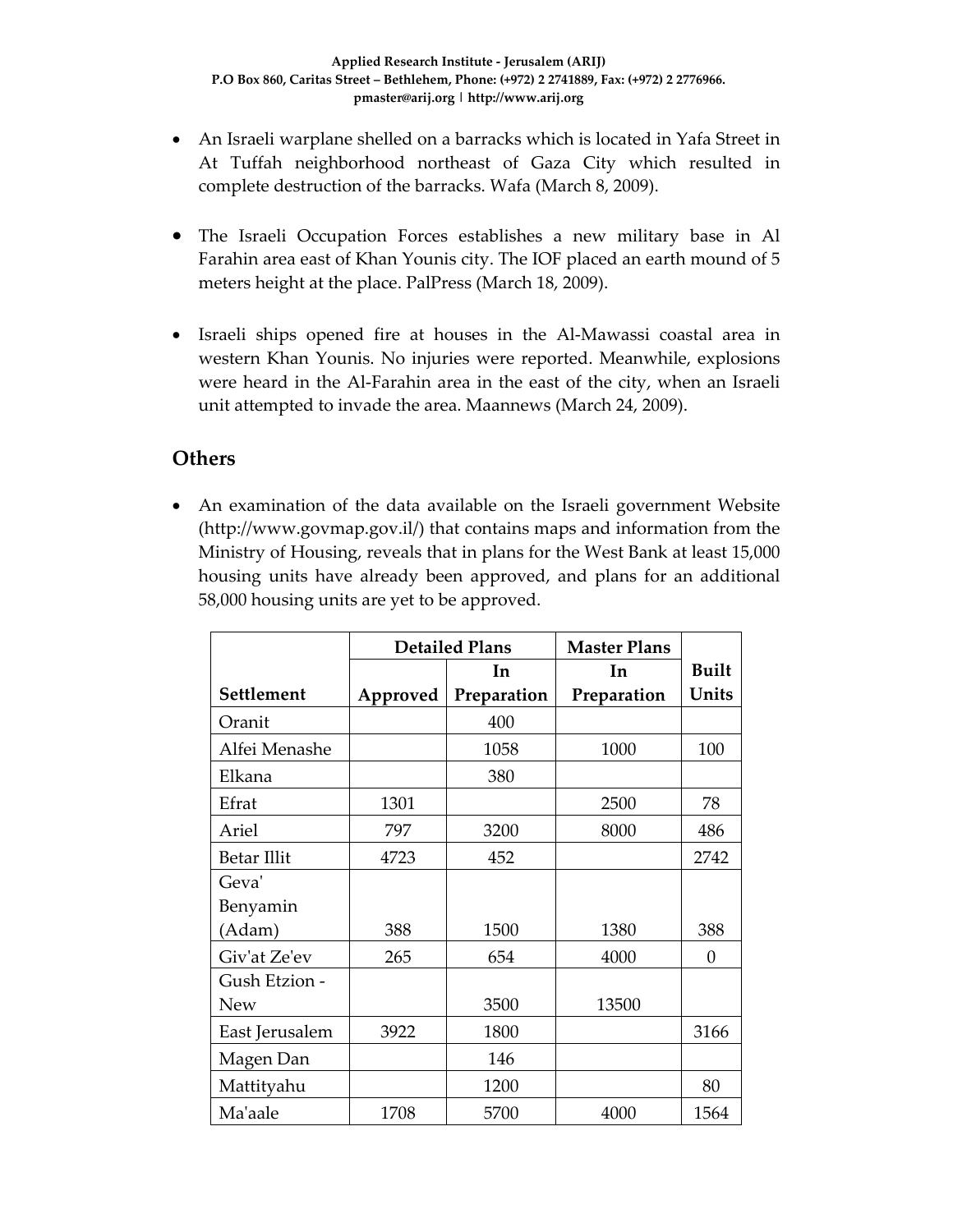- An Israeli warplane shelled on a barracks which is located in Yafa Street in At Tuffah neighborhood northeast of Gaza City which resulted in complete destruction of the barracks. Wafa (March 8, 2009).
- The Israeli Occupation Forces establishes a new military base in Al Farahin area east of Khan Younis city. The IOF placed an earth mound of 5 meters height at the place. PalPress (March 18, 2009).
- Israeli ships opened fire at houses in the Al-Mawassi coastal area in western Khan Younis. No injuries were reported. Meanwhile, explosions were heard in the Al-Farahin area in the east of the city, when an Israeli unit attempted to invade the area. Maannews (March 24, 2009).

#### **Others**

• An examination of the data available on the Israeli government Website (http://www.govmap.gov.il/) that contains maps and information from the Ministry of Housing, reveals that in plans for the West Bank at least 15,000 housing units have already been approved, and plans for an additional 58,000 housing units are yet to be approved.

|                    | <b>Detailed Plans</b> |             | <b>Master Plans</b> |              |
|--------------------|-----------------------|-------------|---------------------|--------------|
|                    |                       | In          | In                  | <b>Built</b> |
| Settlement         | Approved              | Preparation | Preparation         | Units        |
| Oranit             |                       | 400         |                     |              |
| Alfei Menashe      |                       | 1058        | 1000                | 100          |
| Elkana             |                       | 380         |                     |              |
| Efrat              | 1301                  |             | 2500                | 78           |
| Ariel              | 797                   | 3200        | 8000                | 486          |
| <b>Betar Illit</b> | 4723                  | 452         |                     | 2742         |
| Geva'              |                       |             |                     |              |
| Benyamin           |                       |             |                     |              |
| (Adam)             | 388                   | 1500        | 1380                | 388          |
| Giv'at Ze'ev       | 265                   | 654         | 4000                | $\Omega$     |
| Gush Etzion -      |                       |             |                     |              |
| <b>New</b>         |                       | 3500        | 13500               |              |
| East Jerusalem     | 3922                  | 1800        |                     | 3166         |
| Magen Dan          |                       | 146         |                     |              |
| Mattityahu         |                       | 1200        |                     | 80           |
| Ma'aale            | 1708                  | 5700        | 4000                | 1564         |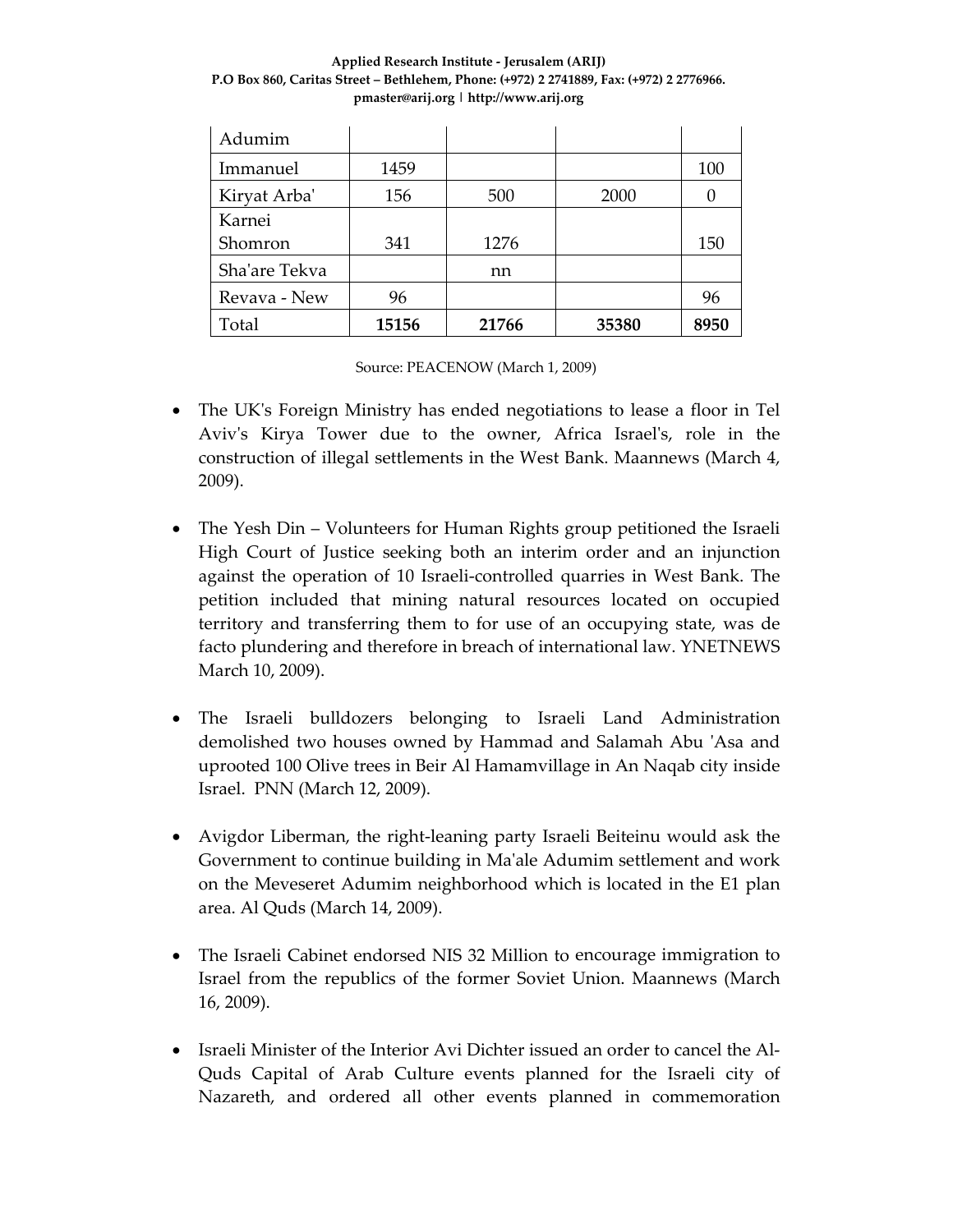#### **Applied Research Institute ‐ Jerusalem (ARIJ) P.O Box 860, Caritas Street – Bethlehem, Phone: (+972) 2 2741889, Fax: (+972) 2 2776966. pmaster@arij.org | http://www.arij.org**

| Adumim        |       |       |       |      |
|---------------|-------|-------|-------|------|
| Immanuel      | 1459  |       |       | 100  |
| Kiryat Arba'  | 156   | 500   | 2000  |      |
| Karnei        |       |       |       |      |
| Shomron       | 341   | 1276  |       | 150  |
| Sha'are Tekva |       | nn    |       |      |
| Revava - New  | 96    |       |       | 96   |
| Total         | 15156 | 21766 | 35380 | 8950 |

Source: PEACENOW (March 1, 2009)

- The UK's Foreign Ministry has ended negotiations to lease a floor in Tel Aviv's Kirya Tower due to the owner, Africa Israel's, role in the construction of illegal settlements in the West Bank. Maannews (March 4, 2009).
- The Yesh Din Volunteers for Human Rights group petitioned the Israeli High Court of Justice seeking both an interim order and an injunction against the operation of 10 Israeli‐controlled quarries in West Bank. The petition included that mining natural resources located on occupied territory and transferring them to for use of an occupying state, was de facto plundering and therefore in breach of international law. YNETNEWS March 10, 2009).
- The Israeli bulldozers belonging to Israeli Land Administration demolished two houses owned by Hammad and Salamah Abu ʹAsa and uprooted 100 Olive trees in Beir Al Hamamvillage in An Naqab city inside Israel. PNN (March 12, 2009).
- Avigdor Liberman, the right-leaning party Israeli Beiteinu would ask the Government to continue building in Maʹale Adumim settlement and work on the Meveseret Adumim neighborhood which is located in the E1 plan area. Al Quds (March 14, 2009).
- The Israeli Cabinet endorsed NIS 32 Million to encourage immigration to Israel from the republics of the former Soviet Union. Maannews (March 16, 2009).
- Israeli Minister of the Interior Avi Dichter issued an order to cancel the Al-Quds Capital of Arab Culture events planned for the Israeli city of Nazareth, and ordered all other events planned in commemoration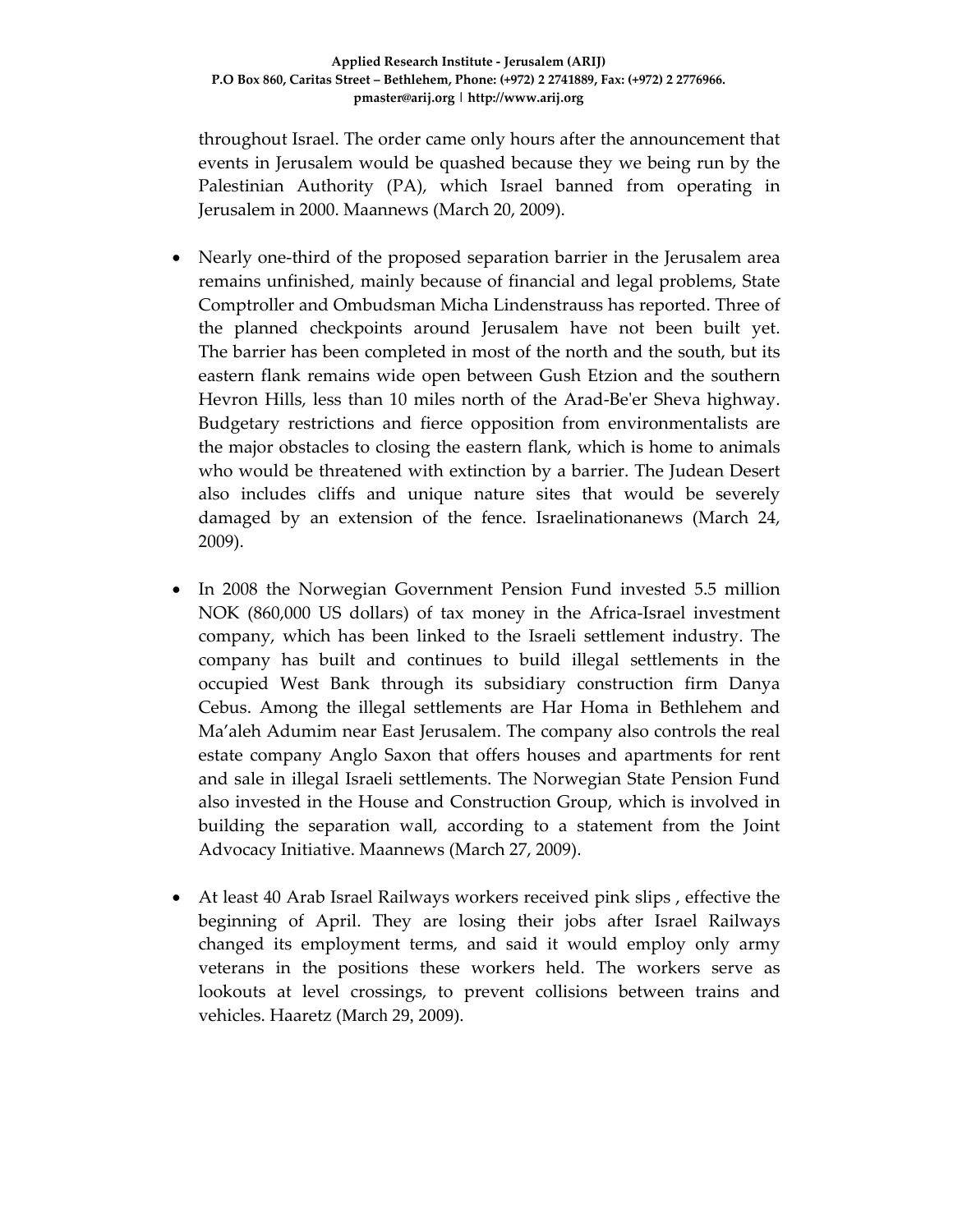throughout Israel. The order came only hours after the announcement that events in Jerusalem would be quashed because they we being run by the Palestinian Authority (PA), which Israel banned from operating in Jerusalem in 2000. Maannews (March 20, 2009).

- Nearly one‐third of the proposed separation barrier in the Jerusalem area remains unfinished, mainly because of financial and legal problems, State Comptroller and Ombudsman Micha Lindenstrauss has reported. Three of the planned checkpoints around Jerusalem have not been built yet. The barrier has been completed in most of the north and the south, but its eastern flank remains wide open between Gush Etzion and the southern Hevron Hills, less than 10 miles north of the Arad‐Beʹer Sheva highway. Budgetary restrictions and fierce opposition from environmentalists are the major obstacles to closing the eastern flank, which is home to animals who would be threatened with extinction by a barrier. The Judean Desert also includes cliffs and unique nature sites that would be severely damaged by an extension of the fence. Israelinationanews (March 24, 2009).
- In 2008 the Norwegian Government Pension Fund invested 5.5 million NOK (860,000 US dollars) of tax money in the Africa-Israel investment company, which has been linked to the Israeli settlement industry. The company has built and continues to build illegal settlements in the occupied West Bank through its subsidiary construction firm Danya Cebus. Among the illegal settlements are Har Homa in Bethlehem and Ma'aleh Adumim near East Jerusalem. The company also controls the real estate company Anglo Saxon that offers houses and apartments for rent and sale in illegal Israeli settlements. The Norwegian State Pension Fund also invested in the House and Construction Group, which is involved in building the separation wall, according to a statement from the Joint Advocacy Initiative. Maannews (March 27, 2009).
- At least 40 Arab Israel Railways workers received pink slips , effective the beginning of April. They are losing their jobs after Israel Railways changed its employment terms, and said it would employ only army veterans in the positions these workers held. The workers serve as lookouts at level crossings, to prevent collisions between trains and vehicles. Haaretz (March 29, 2009).